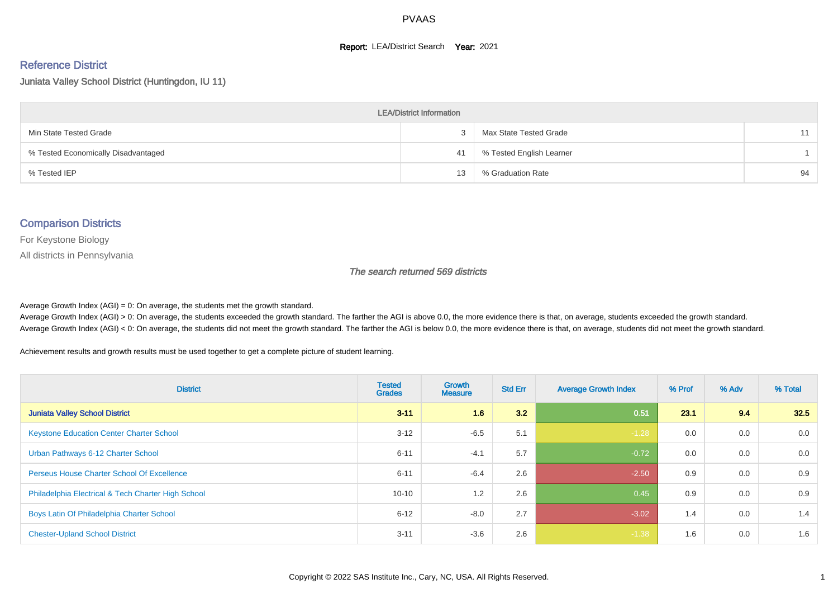#### **Report: LEA/District Search Year: 2021**

#### Reference District

Juniata Valley School District (Huntingdon, IU 11)

| <b>LEA/District Information</b>     |    |                          |    |  |  |  |  |  |  |  |
|-------------------------------------|----|--------------------------|----|--|--|--|--|--|--|--|
| Min State Tested Grade              |    | Max State Tested Grade   | 11 |  |  |  |  |  |  |  |
| % Tested Economically Disadvantaged | 41 | % Tested English Learner |    |  |  |  |  |  |  |  |
| % Tested IEP                        | 13 | % Graduation Rate        | 94 |  |  |  |  |  |  |  |

#### Comparison Districts

For Keystone Biology

All districts in Pennsylvania

The search returned 569 districts

Average Growth Index  $(AGI) = 0$ : On average, the students met the growth standard.

Average Growth Index (AGI) > 0: On average, the students exceeded the growth standard. The farther the AGI is above 0.0, the more evidence there is that, on average, students exceeded the growth standard. Average Growth Index (AGI) < 0: On average, the students did not meet the growth standard. The farther the AGI is below 0.0, the more evidence there is that, on average, students did not meet the growth standard.

Achievement results and growth results must be used together to get a complete picture of student learning.

| <b>District</b>                                    | <b>Tested</b><br><b>Grades</b> | <b>Growth</b><br><b>Measure</b> | <b>Std Err</b> | <b>Average Growth Index</b> | % Prof | % Adv | % Total |
|----------------------------------------------------|--------------------------------|---------------------------------|----------------|-----------------------------|--------|-------|---------|
| <b>Juniata Valley School District</b>              | $3 - 11$                       | 1.6                             | 3.2            | 0.51                        | 23.1   | 9.4   | 32.5    |
| <b>Keystone Education Center Charter School</b>    | $3 - 12$                       | $-6.5$                          | 5.1            | $-1.28$                     | 0.0    | 0.0   | 0.0     |
| Urban Pathways 6-12 Charter School                 | $6 - 11$                       | $-4.1$                          | 5.7            | $-0.72$                     | 0.0    | 0.0   | 0.0     |
| <b>Perseus House Charter School Of Excellence</b>  | $6 - 11$                       | $-6.4$                          | 2.6            | $-2.50$                     | 0.9    | 0.0   | 0.9     |
| Philadelphia Electrical & Tech Charter High School | $10 - 10$                      | 1.2                             | 2.6            | 0.45                        | 0.9    | 0.0   | 0.9     |
| Boys Latin Of Philadelphia Charter School          | $6 - 12$                       | $-8.0$                          | 2.7            | $-3.02$                     | 1.4    | 0.0   | 1.4     |
| <b>Chester-Upland School District</b>              | $3 - 11$                       | $-3.6$                          | 2.6            | $-1.38$                     | 1.6    | 0.0   | 1.6     |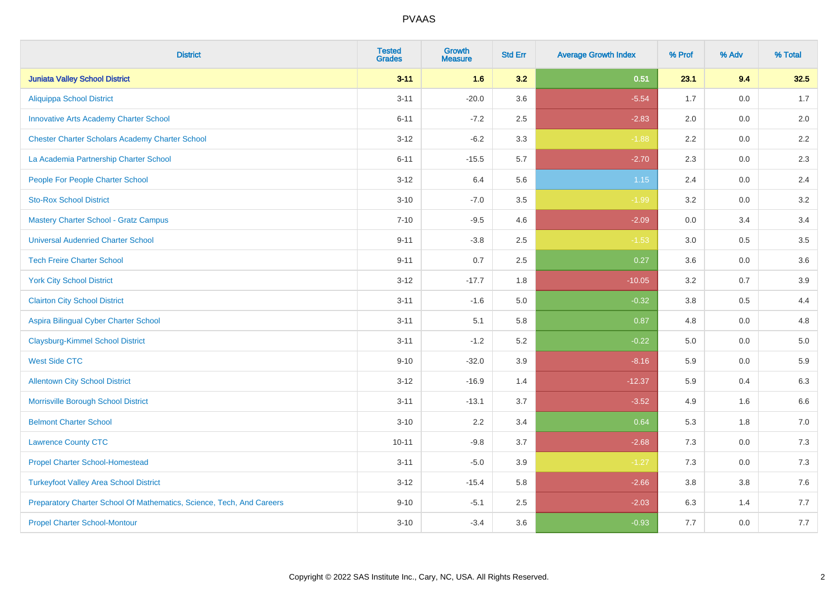| <b>District</b>                                                       | <b>Tested</b><br><b>Grades</b> | <b>Growth</b><br><b>Measure</b> | <b>Std Err</b> | <b>Average Growth Index</b> | % Prof | % Adv   | % Total |
|-----------------------------------------------------------------------|--------------------------------|---------------------------------|----------------|-----------------------------|--------|---------|---------|
| <b>Juniata Valley School District</b>                                 | $3 - 11$                       | 1.6                             | 3.2            | 0.51                        | 23.1   | 9.4     | 32.5    |
| <b>Aliquippa School District</b>                                      | $3 - 11$                       | $-20.0$                         | 3.6            | $-5.54$                     | 1.7    | 0.0     | 1.7     |
| <b>Innovative Arts Academy Charter School</b>                         | $6 - 11$                       | $-7.2$                          | 2.5            | $-2.83$                     | 2.0    | 0.0     | 2.0     |
| <b>Chester Charter Scholars Academy Charter School</b>                | $3 - 12$                       | $-6.2$                          | 3.3            | $-1.88$                     | 2.2    | 0.0     | 2.2     |
| La Academia Partnership Charter School                                | $6 - 11$                       | $-15.5$                         | 5.7            | $-2.70$                     | 2.3    | 0.0     | 2.3     |
| People For People Charter School                                      | $3 - 12$                       | 6.4                             | 5.6            | $1.15$                      | 2.4    | 0.0     | 2.4     |
| <b>Sto-Rox School District</b>                                        | $3 - 10$                       | $-7.0$                          | 3.5            | $-1.99$                     | 3.2    | 0.0     | 3.2     |
| <b>Mastery Charter School - Gratz Campus</b>                          | $7 - 10$                       | $-9.5$                          | 4.6            | $-2.09$                     | 0.0    | 3.4     | 3.4     |
| <b>Universal Audenried Charter School</b>                             | $9 - 11$                       | $-3.8$                          | 2.5            | $-1.53$                     | 3.0    | 0.5     | 3.5     |
| <b>Tech Freire Charter School</b>                                     | $9 - 11$                       | 0.7                             | 2.5            | 0.27                        | 3.6    | 0.0     | 3.6     |
| <b>York City School District</b>                                      | $3 - 12$                       | $-17.7$                         | 1.8            | $-10.05$                    | 3.2    | 0.7     | 3.9     |
| <b>Clairton City School District</b>                                  | $3 - 11$                       | $-1.6$                          | 5.0            | $-0.32$                     | 3.8    | 0.5     | 4.4     |
| Aspira Bilingual Cyber Charter School                                 | $3 - 11$                       | 5.1                             | 5.8            | 0.87                        | 4.8    | $0.0\,$ | 4.8     |
| <b>Claysburg-Kimmel School District</b>                               | $3 - 11$                       | $-1.2$                          | 5.2            | $-0.22$                     | 5.0    | 0.0     | $5.0$   |
| <b>West Side CTC</b>                                                  | $9 - 10$                       | $-32.0$                         | 3.9            | $-8.16$                     | 5.9    | 0.0     | 5.9     |
| <b>Allentown City School District</b>                                 | $3 - 12$                       | $-16.9$                         | 1.4            | $-12.37$                    | 5.9    | 0.4     | 6.3     |
| Morrisville Borough School District                                   | $3 - 11$                       | $-13.1$                         | 3.7            | $-3.52$                     | 4.9    | 1.6     | 6.6     |
| <b>Belmont Charter School</b>                                         | $3 - 10$                       | 2.2                             | 3.4            | 0.64                        | 5.3    | 1.8     | $7.0$   |
| <b>Lawrence County CTC</b>                                            | $10 - 11$                      | $-9.8$                          | 3.7            | $-2.68$                     | 7.3    | 0.0     | $7.3$   |
| <b>Propel Charter School-Homestead</b>                                | $3 - 11$                       | $-5.0$                          | 3.9            | $-1.27$                     | 7.3    | 0.0     | $7.3$   |
| <b>Turkeyfoot Valley Area School District</b>                         | $3 - 12$                       | $-15.4$                         | 5.8            | $-2.66$                     | 3.8    | 3.8     | 7.6     |
| Preparatory Charter School Of Mathematics, Science, Tech, And Careers | $9 - 10$                       | $-5.1$                          | 2.5            | $-2.03$                     | 6.3    | 1.4     | 7.7     |
| <b>Propel Charter School-Montour</b>                                  | $3 - 10$                       | $-3.4$                          | 3.6            | $-0.93$                     | 7.7    | 0.0     | 7.7     |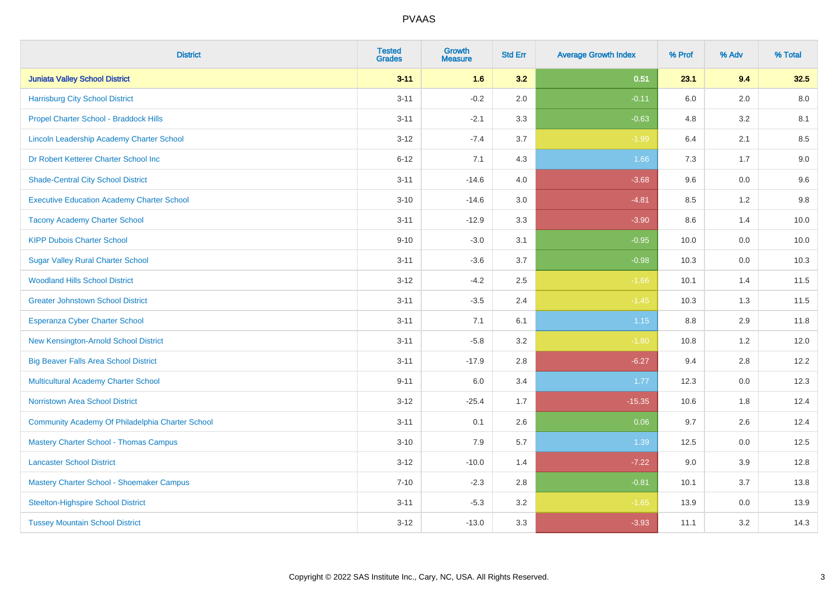| <b>District</b>                                   | <b>Tested</b><br><b>Grades</b> | <b>Growth</b><br><b>Measure</b> | <b>Std Err</b> | <b>Average Growth Index</b> | % Prof | % Adv | % Total |
|---------------------------------------------------|--------------------------------|---------------------------------|----------------|-----------------------------|--------|-------|---------|
| <b>Juniata Valley School District</b>             | $3 - 11$                       | 1.6                             | 3.2            | 0.51                        | 23.1   | 9.4   | 32.5    |
| <b>Harrisburg City School District</b>            | $3 - 11$                       | $-0.2$                          | 2.0            | $-0.11$                     | 6.0    | 2.0   | 8.0     |
| Propel Charter School - Braddock Hills            | $3 - 11$                       | $-2.1$                          | 3.3            | $-0.63$                     | 4.8    | 3.2   | 8.1     |
| Lincoln Leadership Academy Charter School         | $3 - 12$                       | $-7.4$                          | 3.7            | $-1.99$                     | 6.4    | 2.1   | 8.5     |
| Dr Robert Ketterer Charter School Inc             | $6 - 12$                       | 7.1                             | 4.3            | 1.66                        | 7.3    | 1.7   | $9.0\,$ |
| <b>Shade-Central City School District</b>         | $3 - 11$                       | $-14.6$                         | 4.0            | $-3.68$                     | 9.6    | 0.0   | 9.6     |
| <b>Executive Education Academy Charter School</b> | $3 - 10$                       | $-14.6$                         | 3.0            | $-4.81$                     | 8.5    | 1.2   | $9.8\,$ |
| <b>Tacony Academy Charter School</b>              | $3 - 11$                       | $-12.9$                         | 3.3            | $-3.90$                     | 8.6    | 1.4   | 10.0    |
| <b>KIPP Dubois Charter School</b>                 | $9 - 10$                       | $-3.0$                          | 3.1            | $-0.95$                     | 10.0   | 0.0   | 10.0    |
| <b>Sugar Valley Rural Charter School</b>          | $3 - 11$                       | $-3.6$                          | 3.7            | $-0.98$                     | 10.3   | 0.0   | 10.3    |
| <b>Woodland Hills School District</b>             | $3 - 12$                       | $-4.2$                          | 2.5            | $-1.66$                     | 10.1   | 1.4   | 11.5    |
| <b>Greater Johnstown School District</b>          | $3 - 11$                       | $-3.5$                          | 2.4            | $-1.45$                     | 10.3   | 1.3   | 11.5    |
| Esperanza Cyber Charter School                    | $3 - 11$                       | 7.1                             | 6.1            | $1.15$                      | 8.8    | 2.9   | 11.8    |
| New Kensington-Arnold School District             | $3 - 11$                       | $-5.8$                          | 3.2            | $-1.80$                     | 10.8   | 1.2   | 12.0    |
| <b>Big Beaver Falls Area School District</b>      | $3 - 11$                       | $-17.9$                         | 2.8            | $-6.27$                     | 9.4    | 2.8   | 12.2    |
| <b>Multicultural Academy Charter School</b>       | $9 - 11$                       | 6.0                             | 3.4            | 1.77                        | 12.3   | 0.0   | 12.3    |
| Norristown Area School District                   | $3 - 12$                       | $-25.4$                         | 1.7            | $-15.35$                    | 10.6   | 1.8   | 12.4    |
| Community Academy Of Philadelphia Charter School  | $3 - 11$                       | 0.1                             | 2.6            | 0.06                        | 9.7    | 2.6   | 12.4    |
| <b>Mastery Charter School - Thomas Campus</b>     | $3 - 10$                       | 7.9                             | 5.7            | 1.39                        | 12.5   | 0.0   | 12.5    |
| <b>Lancaster School District</b>                  | $3 - 12$                       | $-10.0$                         | 1.4            | $-7.22$                     | 9.0    | 3.9   | 12.8    |
| Mastery Charter School - Shoemaker Campus         | $7 - 10$                       | $-2.3$                          | 2.8            | $-0.81$                     | 10.1   | 3.7   | 13.8    |
| <b>Steelton-Highspire School District</b>         | $3 - 11$                       | $-5.3$                          | 3.2            | $-1.65$                     | 13.9   | 0.0   | 13.9    |
| <b>Tussey Mountain School District</b>            | $3 - 12$                       | $-13.0$                         | 3.3            | $-3.93$                     | 11.1   | 3.2   | 14.3    |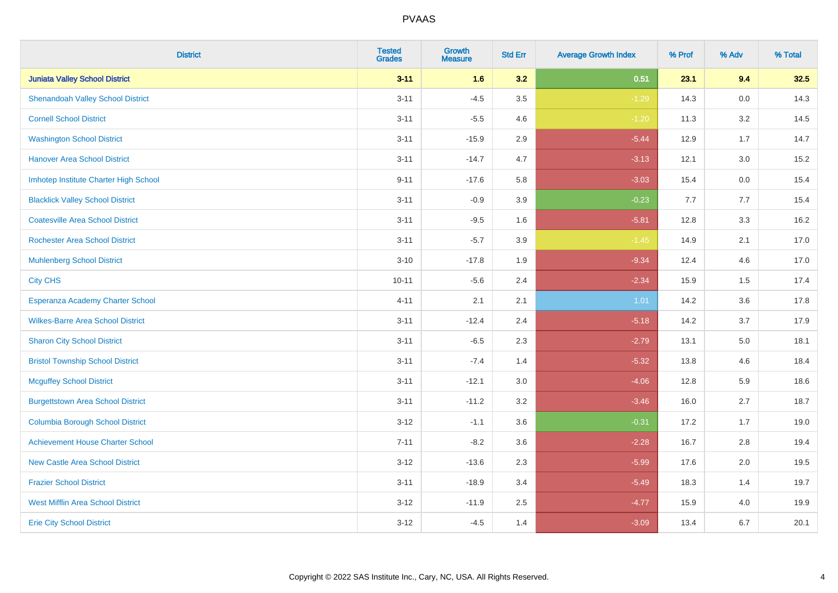| <b>District</b>                          | <b>Tested</b><br><b>Grades</b> | <b>Growth</b><br><b>Measure</b> | <b>Std Err</b> | <b>Average Growth Index</b> | % Prof | % Adv   | % Total |
|------------------------------------------|--------------------------------|---------------------------------|----------------|-----------------------------|--------|---------|---------|
| <b>Juniata Valley School District</b>    | $3 - 11$                       | 1.6                             | 3.2            | 0.51                        | 23.1   | 9.4     | 32.5    |
| <b>Shenandoah Valley School District</b> | $3 - 11$                       | $-4.5$                          | 3.5            | $-1.29$                     | 14.3   | $0.0\,$ | 14.3    |
| <b>Cornell School District</b>           | $3 - 11$                       | $-5.5$                          | 4.6            | $-1.20$                     | 11.3   | 3.2     | 14.5    |
| <b>Washington School District</b>        | $3 - 11$                       | $-15.9$                         | 2.9            | $-5.44$                     | 12.9   | 1.7     | 14.7    |
| <b>Hanover Area School District</b>      | $3 - 11$                       | $-14.7$                         | 4.7            | $-3.13$                     | 12.1   | 3.0     | 15.2    |
| Imhotep Institute Charter High School    | $9 - 11$                       | $-17.6$                         | 5.8            | $-3.03$                     | 15.4   | 0.0     | 15.4    |
| <b>Blacklick Valley School District</b>  | $3 - 11$                       | $-0.9$                          | 3.9            | $-0.23$                     | 7.7    | 7.7     | 15.4    |
| <b>Coatesville Area School District</b>  | $3 - 11$                       | $-9.5$                          | 1.6            | $-5.81$                     | 12.8   | 3.3     | 16.2    |
| <b>Rochester Area School District</b>    | $3 - 11$                       | $-5.7$                          | 3.9            | $-1.45$                     | 14.9   | 2.1     | 17.0    |
| <b>Muhlenberg School District</b>        | $3 - 10$                       | $-17.8$                         | 1.9            | $-9.34$                     | 12.4   | 4.6     | 17.0    |
| <b>City CHS</b>                          | $10 - 11$                      | $-5.6$                          | 2.4            | $-2.34$                     | 15.9   | 1.5     | 17.4    |
| Esperanza Academy Charter School         | $4 - 11$                       | 2.1                             | 2.1            | 1.01                        | 14.2   | 3.6     | 17.8    |
| <b>Wilkes-Barre Area School District</b> | $3 - 11$                       | $-12.4$                         | 2.4            | $-5.18$                     | 14.2   | 3.7     | 17.9    |
| <b>Sharon City School District</b>       | $3 - 11$                       | $-6.5$                          | 2.3            | $-2.79$                     | 13.1   | 5.0     | 18.1    |
| <b>Bristol Township School District</b>  | $3 - 11$                       | $-7.4$                          | 1.4            | $-5.32$                     | 13.8   | 4.6     | 18.4    |
| <b>Mcguffey School District</b>          | $3 - 11$                       | $-12.1$                         | 3.0            | $-4.06$                     | 12.8   | 5.9     | 18.6    |
| <b>Burgettstown Area School District</b> | $3 - 11$                       | $-11.2$                         | 3.2            | $-3.46$                     | 16.0   | 2.7     | 18.7    |
| <b>Columbia Borough School District</b>  | $3 - 12$                       | $-1.1$                          | 3.6            | $-0.31$                     | 17.2   | 1.7     | 19.0    |
| <b>Achievement House Charter School</b>  | $7 - 11$                       | $-8.2$                          | 3.6            | $-2.28$                     | 16.7   | 2.8     | 19.4    |
| <b>New Castle Area School District</b>   | $3 - 12$                       | $-13.6$                         | 2.3            | $-5.99$                     | 17.6   | 2.0     | 19.5    |
| <b>Frazier School District</b>           | $3 - 11$                       | $-18.9$                         | 3.4            | $-5.49$                     | 18.3   | 1.4     | 19.7    |
| <b>West Mifflin Area School District</b> | $3 - 12$                       | $-11.9$                         | 2.5            | $-4.77$                     | 15.9   | 4.0     | 19.9    |
| <b>Erie City School District</b>         | $3 - 12$                       | $-4.5$                          | 1.4            | $-3.09$                     | 13.4   | 6.7     | 20.1    |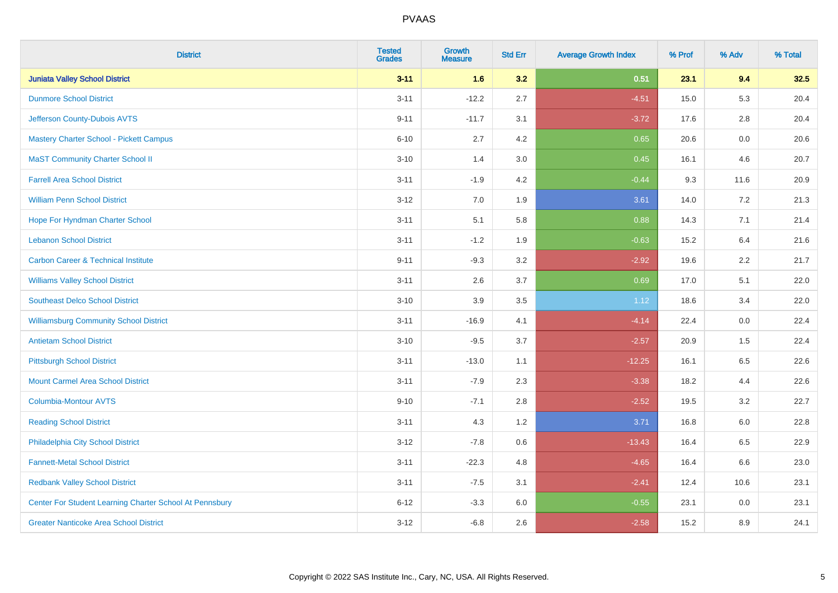| <b>District</b>                                         | <b>Tested</b><br><b>Grades</b> | <b>Growth</b><br><b>Measure</b> | <b>Std Err</b> | <b>Average Growth Index</b> | % Prof | % Adv   | % Total |
|---------------------------------------------------------|--------------------------------|---------------------------------|----------------|-----------------------------|--------|---------|---------|
| <b>Juniata Valley School District</b>                   | $3 - 11$                       | 1.6                             | 3.2            | 0.51                        | 23.1   | 9.4     | 32.5    |
| <b>Dunmore School District</b>                          | $3 - 11$                       | $-12.2$                         | 2.7            | $-4.51$                     | 15.0   | 5.3     | 20.4    |
| Jefferson County-Dubois AVTS                            | $9 - 11$                       | $-11.7$                         | 3.1            | $-3.72$                     | 17.6   | 2.8     | 20.4    |
| Mastery Charter School - Pickett Campus                 | $6 - 10$                       | 2.7                             | 4.2            | 0.65                        | 20.6   | $0.0\,$ | 20.6    |
| <b>MaST Community Charter School II</b>                 | $3 - 10$                       | 1.4                             | 3.0            | 0.45                        | 16.1   | 4.6     | 20.7    |
| <b>Farrell Area School District</b>                     | $3 - 11$                       | $-1.9$                          | 4.2            | $-0.44$                     | 9.3    | 11.6    | 20.9    |
| <b>William Penn School District</b>                     | $3 - 12$                       | 7.0                             | 1.9            | 3.61                        | 14.0   | $7.2\,$ | 21.3    |
| Hope For Hyndman Charter School                         | $3 - 11$                       | 5.1                             | 5.8            | 0.88                        | 14.3   | 7.1     | 21.4    |
| <b>Lebanon School District</b>                          | $3 - 11$                       | $-1.2$                          | 1.9            | $-0.63$                     | 15.2   | 6.4     | 21.6    |
| <b>Carbon Career &amp; Technical Institute</b>          | $9 - 11$                       | $-9.3$                          | 3.2            | $-2.92$                     | 19.6   | 2.2     | 21.7    |
| <b>Williams Valley School District</b>                  | $3 - 11$                       | 2.6                             | 3.7            | 0.69                        | 17.0   | 5.1     | 22.0    |
| <b>Southeast Delco School District</b>                  | $3 - 10$                       | 3.9                             | 3.5            | 1.12                        | 18.6   | 3.4     | 22.0    |
| <b>Williamsburg Community School District</b>           | $3 - 11$                       | $-16.9$                         | 4.1            | $-4.14$                     | 22.4   | 0.0     | 22.4    |
| <b>Antietam School District</b>                         | $3 - 10$                       | $-9.5$                          | 3.7            | $-2.57$                     | 20.9   | $1.5\,$ | 22.4    |
| <b>Pittsburgh School District</b>                       | $3 - 11$                       | $-13.0$                         | 1.1            | $-12.25$                    | 16.1   | 6.5     | 22.6    |
| <b>Mount Carmel Area School District</b>                | $3 - 11$                       | $-7.9$                          | 2.3            | $-3.38$                     | 18.2   | 4.4     | 22.6    |
| Columbia-Montour AVTS                                   | $9 - 10$                       | $-7.1$                          | 2.8            | $-2.52$                     | 19.5   | 3.2     | 22.7    |
| <b>Reading School District</b>                          | $3 - 11$                       | 4.3                             | 1.2            | 3.71                        | 16.8   | 6.0     | 22.8    |
| Philadelphia City School District                       | $3-12$                         | $-7.8$                          | 0.6            | $-13.43$                    | 16.4   | 6.5     | 22.9    |
| <b>Fannett-Metal School District</b>                    | $3 - 11$                       | $-22.3$                         | 4.8            | $-4.65$                     | 16.4   | 6.6     | 23.0    |
| <b>Redbank Valley School District</b>                   | $3 - 11$                       | $-7.5$                          | 3.1            | $-2.41$                     | 12.4   | 10.6    | 23.1    |
| Center For Student Learning Charter School At Pennsbury | $6 - 12$                       | $-3.3$                          | 6.0            | $-0.55$                     | 23.1   | $0.0\,$ | 23.1    |
| <b>Greater Nanticoke Area School District</b>           | $3-12$                         | $-6.8$                          | 2.6            | $-2.58$                     | 15.2   | 8.9     | 24.1    |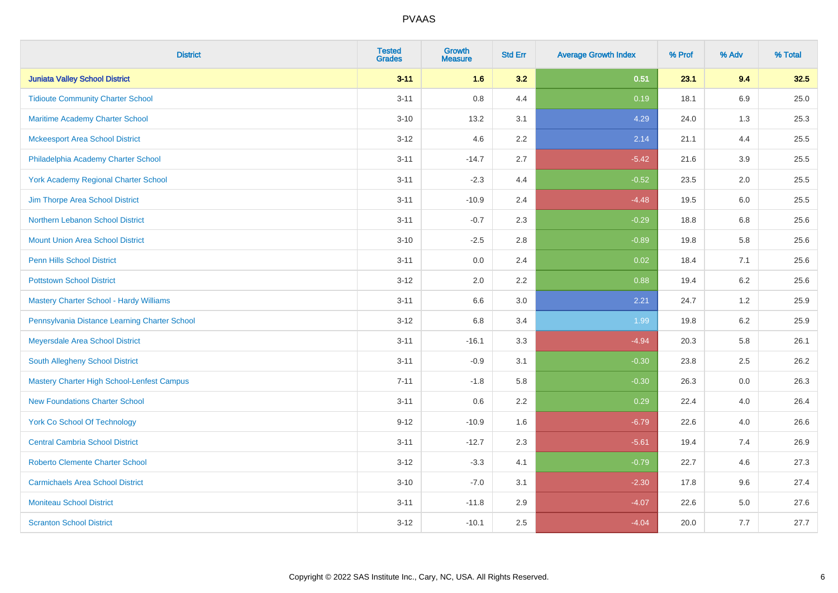| <b>District</b>                                   | <b>Tested</b><br><b>Grades</b> | <b>Growth</b><br><b>Measure</b> | <b>Std Err</b> | <b>Average Growth Index</b> | % Prof | % Adv   | % Total |
|---------------------------------------------------|--------------------------------|---------------------------------|----------------|-----------------------------|--------|---------|---------|
| <b>Juniata Valley School District</b>             | $3 - 11$                       | 1.6                             | 3.2            | 0.51                        | 23.1   | 9.4     | 32.5    |
| <b>Tidioute Community Charter School</b>          | $3 - 11$                       | $0.8\,$                         | 4.4            | 0.19                        | 18.1   | $6.9\,$ | 25.0    |
| <b>Maritime Academy Charter School</b>            | $3 - 10$                       | 13.2                            | 3.1            | 4.29                        | 24.0   | 1.3     | 25.3    |
| <b>Mckeesport Area School District</b>            | $3 - 12$                       | 4.6                             | 2.2            | 2.14                        | 21.1   | 4.4     | 25.5    |
| Philadelphia Academy Charter School               | $3 - 11$                       | $-14.7$                         | 2.7            | $-5.42$                     | 21.6   | 3.9     | 25.5    |
| <b>York Academy Regional Charter School</b>       | $3 - 11$                       | $-2.3$                          | 4.4            | $-0.52$                     | 23.5   | 2.0     | 25.5    |
| Jim Thorpe Area School District                   | $3 - 11$                       | $-10.9$                         | 2.4            | $-4.48$                     | 19.5   | 6.0     | 25.5    |
| Northern Lebanon School District                  | $3 - 11$                       | $-0.7$                          | 2.3            | $-0.29$                     | 18.8   | 6.8     | 25.6    |
| <b>Mount Union Area School District</b>           | $3 - 10$                       | $-2.5$                          | 2.8            | $-0.89$                     | 19.8   | 5.8     | 25.6    |
| <b>Penn Hills School District</b>                 | $3 - 11$                       | 0.0                             | 2.4            | 0.02                        | 18.4   | 7.1     | 25.6    |
| <b>Pottstown School District</b>                  | $3 - 12$                       | 2.0                             | 2.2            | 0.88                        | 19.4   | 6.2     | 25.6    |
| Mastery Charter School - Hardy Williams           | $3 - 11$                       | 6.6                             | 3.0            | 2.21                        | 24.7   | 1.2     | 25.9    |
| Pennsylvania Distance Learning Charter School     | $3 - 12$                       | $6.8\,$                         | 3.4            | 1.99                        | 19.8   | $6.2\,$ | 25.9    |
| Meyersdale Area School District                   | $3 - 11$                       | $-16.1$                         | 3.3            | $-4.94$                     | 20.3   | 5.8     | 26.1    |
| South Allegheny School District                   | $3 - 11$                       | $-0.9$                          | 3.1            | $-0.30$                     | 23.8   | 2.5     | 26.2    |
| <b>Mastery Charter High School-Lenfest Campus</b> | $7 - 11$                       | $-1.8$                          | 5.8            | $-0.30$                     | 26.3   | $0.0\,$ | 26.3    |
| <b>New Foundations Charter School</b>             | $3 - 11$                       | 0.6                             | 2.2            | 0.29                        | 22.4   | 4.0     | 26.4    |
| <b>York Co School Of Technology</b>               | $9 - 12$                       | $-10.9$                         | 1.6            | $-6.79$                     | 22.6   | 4.0     | 26.6    |
| <b>Central Cambria School District</b>            | $3 - 11$                       | $-12.7$                         | 2.3            | $-5.61$                     | 19.4   | 7.4     | 26.9    |
| <b>Roberto Clemente Charter School</b>            | $3 - 12$                       | $-3.3$                          | 4.1            | $-0.79$                     | 22.7   | 4.6     | 27.3    |
| <b>Carmichaels Area School District</b>           | $3 - 10$                       | $-7.0$                          | 3.1            | $-2.30$                     | 17.8   | 9.6     | 27.4    |
| <b>Moniteau School District</b>                   | $3 - 11$                       | $-11.8$                         | 2.9            | $-4.07$                     | 22.6   | 5.0     | 27.6    |
| <b>Scranton School District</b>                   | $3 - 12$                       | $-10.1$                         | 2.5            | $-4.04$                     | 20.0   | 7.7     | 27.7    |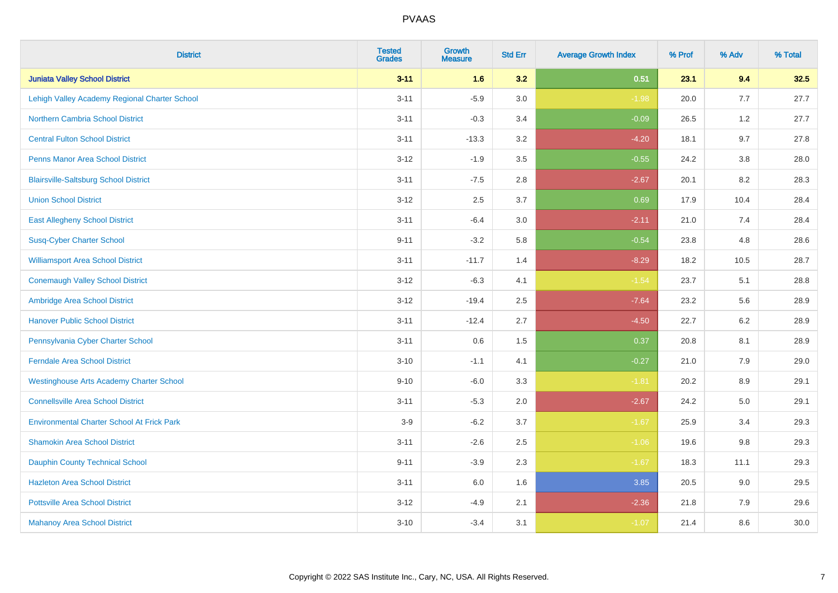| <b>District</b>                                   | <b>Tested</b><br><b>Grades</b> | <b>Growth</b><br><b>Measure</b> | <b>Std Err</b> | <b>Average Growth Index</b> | % Prof | % Adv   | % Total |
|---------------------------------------------------|--------------------------------|---------------------------------|----------------|-----------------------------|--------|---------|---------|
| <b>Juniata Valley School District</b>             | $3 - 11$                       | 1.6                             | 3.2            | 0.51                        | 23.1   | 9.4     | 32.5    |
| Lehigh Valley Academy Regional Charter School     | $3 - 11$                       | $-5.9$                          | 3.0            | $-1.98$                     | 20.0   | 7.7     | 27.7    |
| <b>Northern Cambria School District</b>           | $3 - 11$                       | $-0.3$                          | 3.4            | $-0.09$                     | 26.5   | 1.2     | 27.7    |
| <b>Central Fulton School District</b>             | $3 - 11$                       | $-13.3$                         | 3.2            | $-4.20$                     | 18.1   | 9.7     | 27.8    |
| <b>Penns Manor Area School District</b>           | $3 - 12$                       | $-1.9$                          | 3.5            | $-0.55$                     | 24.2   | 3.8     | 28.0    |
| <b>Blairsville-Saltsburg School District</b>      | $3 - 11$                       | $-7.5$                          | 2.8            | $-2.67$                     | 20.1   | 8.2     | 28.3    |
| <b>Union School District</b>                      | $3 - 12$                       | 2.5                             | 3.7            | 0.69                        | 17.9   | 10.4    | 28.4    |
| <b>East Allegheny School District</b>             | $3 - 11$                       | $-6.4$                          | 3.0            | $-2.11$                     | 21.0   | 7.4     | 28.4    |
| <b>Susq-Cyber Charter School</b>                  | $9 - 11$                       | $-3.2$                          | 5.8            | $-0.54$                     | 23.8   | 4.8     | 28.6    |
| <b>Williamsport Area School District</b>          | $3 - 11$                       | $-11.7$                         | 1.4            | $-8.29$                     | 18.2   | 10.5    | 28.7    |
| <b>Conemaugh Valley School District</b>           | $3 - 12$                       | $-6.3$                          | 4.1            | $-1.54$                     | 23.7   | 5.1     | 28.8    |
| Ambridge Area School District                     | $3 - 12$                       | $-19.4$                         | 2.5            | $-7.64$                     | 23.2   | 5.6     | 28.9    |
| <b>Hanover Public School District</b>             | $3 - 11$                       | $-12.4$                         | 2.7            | $-4.50$                     | 22.7   | $6.2\,$ | 28.9    |
| Pennsylvania Cyber Charter School                 | $3 - 11$                       | 0.6                             | 1.5            | 0.37                        | 20.8   | 8.1     | 28.9    |
| <b>Ferndale Area School District</b>              | $3 - 10$                       | $-1.1$                          | 4.1            | $-0.27$                     | 21.0   | 7.9     | 29.0    |
| <b>Westinghouse Arts Academy Charter School</b>   | $9 - 10$                       | $-6.0$                          | 3.3            | $-1.81$                     | 20.2   | $8.9\,$ | 29.1    |
| <b>Connellsville Area School District</b>         | $3 - 11$                       | $-5.3$                          | 2.0            | $-2.67$                     | 24.2   | 5.0     | 29.1    |
| <b>Environmental Charter School At Frick Park</b> | $3-9$                          | $-6.2$                          | 3.7            | $-1.67$                     | 25.9   | 3.4     | 29.3    |
| <b>Shamokin Area School District</b>              | $3 - 11$                       | $-2.6$                          | 2.5            | $-1.06$                     | 19.6   | $9.8\,$ | 29.3    |
| <b>Dauphin County Technical School</b>            | $9 - 11$                       | $-3.9$                          | 2.3            | $-1.67$                     | 18.3   | 11.1    | 29.3    |
| <b>Hazleton Area School District</b>              | $3 - 11$                       | 6.0                             | 1.6            | 3.85                        | 20.5   | 9.0     | 29.5    |
| <b>Pottsville Area School District</b>            | $3 - 12$                       | $-4.9$                          | 2.1            | $-2.36$                     | 21.8   | 7.9     | 29.6    |
| <b>Mahanoy Area School District</b>               | $3 - 10$                       | $-3.4$                          | 3.1            | $-1.07$                     | 21.4   | 8.6     | 30.0    |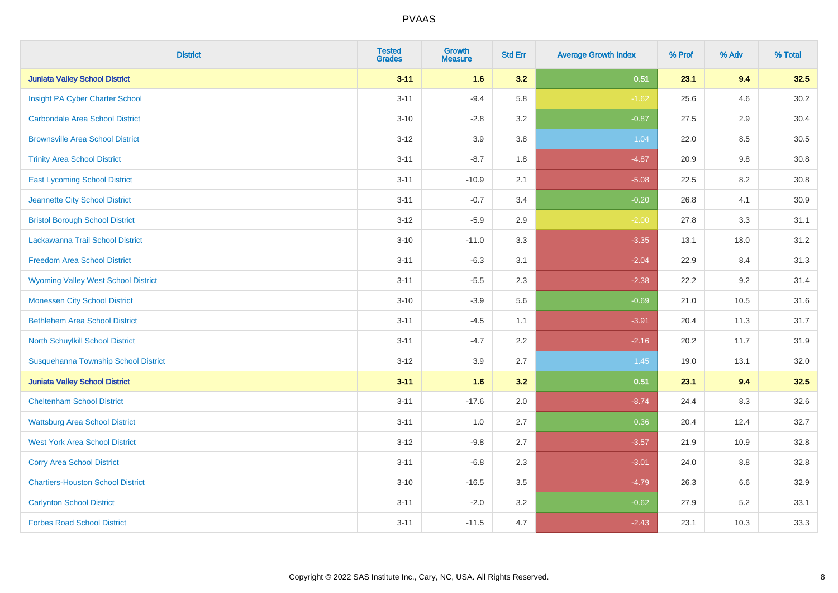| <b>District</b>                            | <b>Tested</b><br><b>Grades</b> | <b>Growth</b><br><b>Measure</b> | <b>Std Err</b> | <b>Average Growth Index</b> | % Prof | % Adv | % Total |
|--------------------------------------------|--------------------------------|---------------------------------|----------------|-----------------------------|--------|-------|---------|
| <b>Juniata Valley School District</b>      | $3 - 11$                       | 1.6                             | 3.2            | 0.51                        | 23.1   | 9.4   | 32.5    |
| Insight PA Cyber Charter School            | $3 - 11$                       | $-9.4$                          | 5.8            | $-1.62$                     | 25.6   | 4.6   | 30.2    |
| <b>Carbondale Area School District</b>     | $3 - 10$                       | $-2.8$                          | 3.2            | $-0.87$                     | 27.5   | 2.9   | 30.4    |
| <b>Brownsville Area School District</b>    | $3 - 12$                       | 3.9                             | 3.8            | 1.04                        | 22.0   | 8.5   | 30.5    |
| <b>Trinity Area School District</b>        | $3 - 11$                       | $-8.7$                          | 1.8            | $-4.87$                     | 20.9   | 9.8   | 30.8    |
| <b>East Lycoming School District</b>       | $3 - 11$                       | $-10.9$                         | 2.1            | $-5.08$                     | 22.5   | 8.2   | 30.8    |
| Jeannette City School District             | $3 - 11$                       | $-0.7$                          | 3.4            | $-0.20$                     | 26.8   | 4.1   | 30.9    |
| <b>Bristol Borough School District</b>     | $3 - 12$                       | $-5.9$                          | 2.9            | $-2.00$                     | 27.8   | 3.3   | 31.1    |
| Lackawanna Trail School District           | $3 - 10$                       | $-11.0$                         | 3.3            | $-3.35$                     | 13.1   | 18.0  | 31.2    |
| <b>Freedom Area School District</b>        | $3 - 11$                       | $-6.3$                          | 3.1            | $-2.04$                     | 22.9   | 8.4   | 31.3    |
| <b>Wyoming Valley West School District</b> | $3 - 11$                       | $-5.5$                          | 2.3            | $-2.38$                     | 22.2   | 9.2   | 31.4    |
| <b>Monessen City School District</b>       | $3 - 10$                       | $-3.9$                          | 5.6            | $-0.69$                     | 21.0   | 10.5  | 31.6    |
| <b>Bethlehem Area School District</b>      | $3 - 11$                       | $-4.5$                          | 1.1            | $-3.91$                     | 20.4   | 11.3  | 31.7    |
| North Schuylkill School District           | $3 - 11$                       | $-4.7$                          | 2.2            | $-2.16$                     | 20.2   | 11.7  | 31.9    |
| Susquehanna Township School District       | $3 - 12$                       | 3.9                             | 2.7            | 1.45                        | 19.0   | 13.1  | 32.0    |
| <b>Juniata Valley School District</b>      | $3 - 11$                       | 1.6                             | 3.2            | 0.51                        | 23.1   | 9.4   | 32.5    |
| <b>Cheltenham School District</b>          | $3 - 11$                       | $-17.6$                         | 2.0            | $-8.74$                     | 24.4   | 8.3   | 32.6    |
| <b>Wattsburg Area School District</b>      | $3 - 11$                       | 1.0                             | 2.7            | 0.36                        | 20.4   | 12.4  | 32.7    |
| <b>West York Area School District</b>      | $3 - 12$                       | $-9.8$                          | 2.7            | $-3.57$                     | 21.9   | 10.9  | 32.8    |
| <b>Corry Area School District</b>          | $3 - 11$                       | $-6.8$                          | 2.3            | $-3.01$                     | 24.0   | 8.8   | 32.8    |
| <b>Chartiers-Houston School District</b>   | $3 - 10$                       | $-16.5$                         | 3.5            | $-4.79$                     | 26.3   | 6.6   | 32.9    |
| <b>Carlynton School District</b>           | $3 - 11$                       | $-2.0$                          | 3.2            | $-0.62$                     | 27.9   | 5.2   | 33.1    |
| <b>Forbes Road School District</b>         | $3 - 11$                       | $-11.5$                         | 4.7            | $-2.43$                     | 23.1   | 10.3  | 33.3    |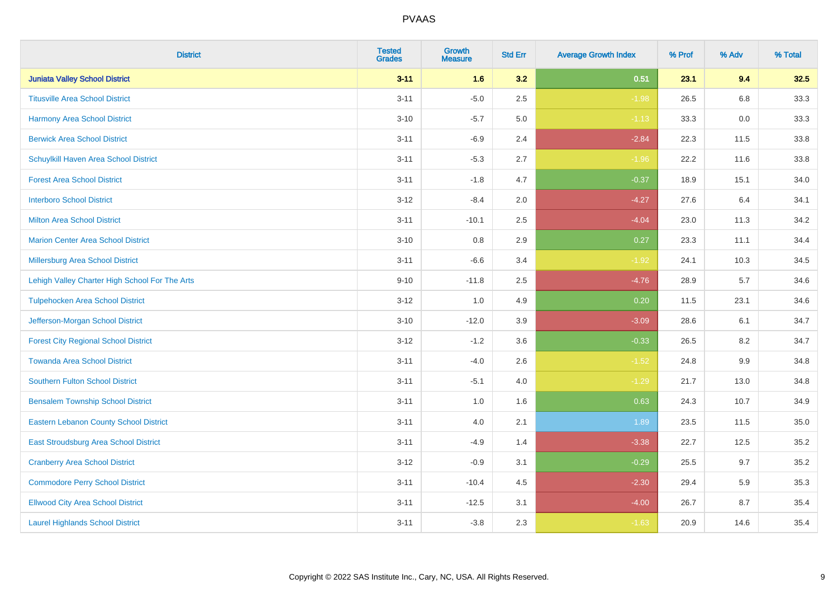| <b>District</b>                                | <b>Tested</b><br><b>Grades</b> | <b>Growth</b><br><b>Measure</b> | <b>Std Err</b> | <b>Average Growth Index</b> | % Prof | % Adv | % Total |
|------------------------------------------------|--------------------------------|---------------------------------|----------------|-----------------------------|--------|-------|---------|
| <b>Juniata Valley School District</b>          | $3 - 11$                       | 1.6                             | 3.2            | 0.51                        | 23.1   | 9.4   | 32.5    |
| <b>Titusville Area School District</b>         | $3 - 11$                       | $-5.0$                          | 2.5            | $-1.98$                     | 26.5   | 6.8   | 33.3    |
| Harmony Area School District                   | $3 - 10$                       | $-5.7$                          | 5.0            | $-1.13$                     | 33.3   | 0.0   | 33.3    |
| <b>Berwick Area School District</b>            | $3 - 11$                       | $-6.9$                          | 2.4            | $-2.84$                     | 22.3   | 11.5  | 33.8    |
| Schuylkill Haven Area School District          | $3 - 11$                       | $-5.3$                          | 2.7            | $-1.96$                     | 22.2   | 11.6  | 33.8    |
| <b>Forest Area School District</b>             | $3 - 11$                       | $-1.8$                          | 4.7            | $-0.37$                     | 18.9   | 15.1  | 34.0    |
| <b>Interboro School District</b>               | $3 - 12$                       | $-8.4$                          | 2.0            | $-4.27$                     | 27.6   | 6.4   | 34.1    |
| <b>Milton Area School District</b>             | $3 - 11$                       | $-10.1$                         | 2.5            | $-4.04$                     | 23.0   | 11.3  | 34.2    |
| <b>Marion Center Area School District</b>      | $3 - 10$                       | 0.8                             | 2.9            | 0.27                        | 23.3   | 11.1  | 34.4    |
| <b>Millersburg Area School District</b>        | $3 - 11$                       | $-6.6$                          | 3.4            | $-1.92$                     | 24.1   | 10.3  | 34.5    |
| Lehigh Valley Charter High School For The Arts | $9 - 10$                       | $-11.8$                         | 2.5            | $-4.76$                     | 28.9   | 5.7   | 34.6    |
| <b>Tulpehocken Area School District</b>        | $3 - 12$                       | 1.0                             | 4.9            | 0.20                        | 11.5   | 23.1  | 34.6    |
| Jefferson-Morgan School District               | $3 - 10$                       | $-12.0$                         | 3.9            | $-3.09$                     | 28.6   | 6.1   | 34.7    |
| <b>Forest City Regional School District</b>    | $3 - 12$                       | $-1.2$                          | 3.6            | $-0.33$                     | 26.5   | 8.2   | 34.7    |
| <b>Towanda Area School District</b>            | $3 - 11$                       | $-4.0$                          | 2.6            | $-1.52$                     | 24.8   | 9.9   | 34.8    |
| <b>Southern Fulton School District</b>         | $3 - 11$                       | $-5.1$                          | 4.0            | $-1.29$                     | 21.7   | 13.0  | 34.8    |
| <b>Bensalem Township School District</b>       | $3 - 11$                       | 1.0                             | 1.6            | 0.63                        | 24.3   | 10.7  | 34.9    |
| <b>Eastern Lebanon County School District</b>  | $3 - 11$                       | 4.0                             | 2.1            | 1.89                        | 23.5   | 11.5  | 35.0    |
| East Stroudsburg Area School District          | $3 - 11$                       | $-4.9$                          | 1.4            | $-3.38$                     | 22.7   | 12.5  | 35.2    |
| <b>Cranberry Area School District</b>          | $3-12$                         | $-0.9$                          | 3.1            | $-0.29$                     | 25.5   | 9.7   | 35.2    |
| <b>Commodore Perry School District</b>         | $3 - 11$                       | $-10.4$                         | 4.5            | $-2.30$                     | 29.4   | 5.9   | 35.3    |
| <b>Ellwood City Area School District</b>       | $3 - 11$                       | $-12.5$                         | 3.1            | $-4.00$                     | 26.7   | 8.7   | 35.4    |
| <b>Laurel Highlands School District</b>        | $3 - 11$                       | $-3.8$                          | 2.3            | $-1.63$                     | 20.9   | 14.6  | 35.4    |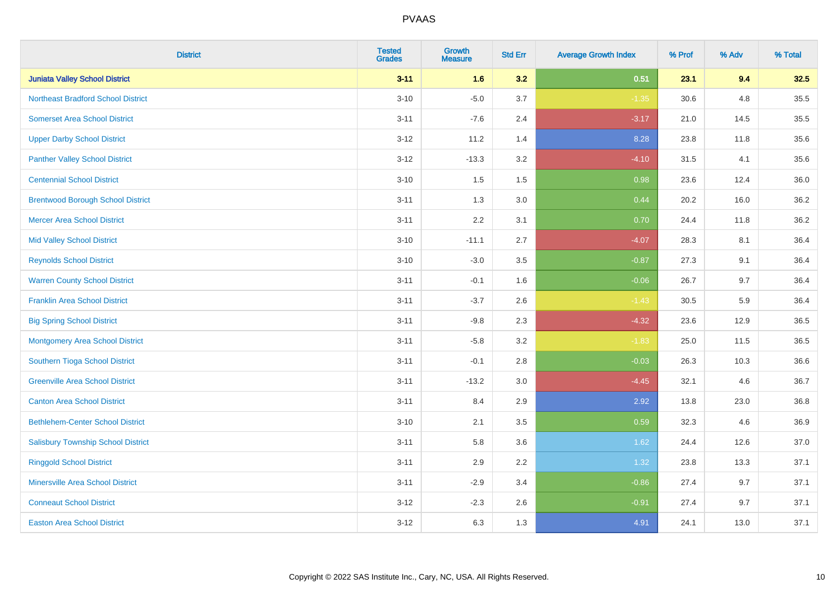| <b>District</b>                           | <b>Tested</b><br><b>Grades</b> | <b>Growth</b><br><b>Measure</b> | <b>Std Err</b> | <b>Average Growth Index</b> | % Prof | % Adv | % Total |
|-------------------------------------------|--------------------------------|---------------------------------|----------------|-----------------------------|--------|-------|---------|
| <b>Juniata Valley School District</b>     | $3 - 11$                       | 1.6                             | 3.2            | 0.51                        | 23.1   | 9.4   | 32.5    |
| <b>Northeast Bradford School District</b> | $3 - 10$                       | $-5.0$                          | 3.7            | $-1.35$                     | 30.6   | 4.8   | 35.5    |
| <b>Somerset Area School District</b>      | $3 - 11$                       | $-7.6$                          | 2.4            | $-3.17$                     | 21.0   | 14.5  | 35.5    |
| <b>Upper Darby School District</b>        | $3 - 12$                       | 11.2                            | 1.4            | 8.28                        | 23.8   | 11.8  | 35.6    |
| <b>Panther Valley School District</b>     | $3-12$                         | $-13.3$                         | 3.2            | $-4.10$                     | 31.5   | 4.1   | 35.6    |
| <b>Centennial School District</b>         | $3 - 10$                       | 1.5                             | 1.5            | 0.98                        | 23.6   | 12.4  | 36.0    |
| <b>Brentwood Borough School District</b>  | $3 - 11$                       | 1.3                             | 3.0            | 0.44                        | 20.2   | 16.0  | 36.2    |
| <b>Mercer Area School District</b>        | $3 - 11$                       | 2.2                             | 3.1            | 0.70                        | 24.4   | 11.8  | 36.2    |
| <b>Mid Valley School District</b>         | $3 - 10$                       | $-11.1$                         | 2.7            | $-4.07$                     | 28.3   | 8.1   | 36.4    |
| <b>Reynolds School District</b>           | $3 - 10$                       | $-3.0$                          | 3.5            | $-0.87$                     | 27.3   | 9.1   | 36.4    |
| <b>Warren County School District</b>      | $3 - 11$                       | $-0.1$                          | 1.6            | $-0.06$                     | 26.7   | 9.7   | 36.4    |
| <b>Franklin Area School District</b>      | $3 - 11$                       | $-3.7$                          | 2.6            | $-1.43$                     | 30.5   | 5.9   | 36.4    |
| <b>Big Spring School District</b>         | $3 - 11$                       | $-9.8$                          | 2.3            | $-4.32$                     | 23.6   | 12.9  | 36.5    |
| <b>Montgomery Area School District</b>    | $3 - 11$                       | $-5.8$                          | 3.2            | $-1.83$                     | 25.0   | 11.5  | 36.5    |
| Southern Tioga School District            | $3 - 11$                       | $-0.1$                          | 2.8            | $-0.03$                     | 26.3   | 10.3  | 36.6    |
| <b>Greenville Area School District</b>    | $3 - 11$                       | $-13.2$                         | 3.0            | $-4.45$                     | 32.1   | 4.6   | 36.7    |
| <b>Canton Area School District</b>        | $3 - 11$                       | 8.4                             | 2.9            | 2.92                        | 13.8   | 23.0  | 36.8    |
| <b>Bethlehem-Center School District</b>   | $3 - 10$                       | 2.1                             | 3.5            | 0.59                        | 32.3   | 4.6   | 36.9    |
| <b>Salisbury Township School District</b> | $3 - 11$                       | 5.8                             | 3.6            | 1.62                        | 24.4   | 12.6  | 37.0    |
| <b>Ringgold School District</b>           | $3 - 11$                       | 2.9                             | 2.2            | 1.32                        | 23.8   | 13.3  | 37.1    |
| <b>Minersville Area School District</b>   | $3 - 11$                       | $-2.9$                          | 3.4            | $-0.86$                     | 27.4   | 9.7   | 37.1    |
| <b>Conneaut School District</b>           | $3 - 12$                       | $-2.3$                          | 2.6            | $-0.91$                     | 27.4   | 9.7   | 37.1    |
| <b>Easton Area School District</b>        | $3 - 12$                       | 6.3                             | 1.3            | 4.91                        | 24.1   | 13.0  | 37.1    |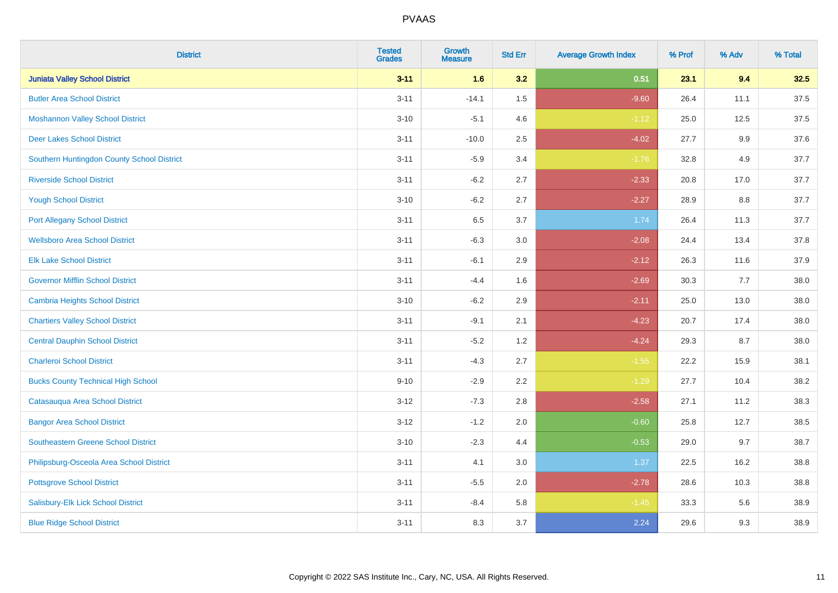| <b>District</b>                            | <b>Tested</b><br><b>Grades</b> | <b>Growth</b><br><b>Measure</b> | <b>Std Err</b> | <b>Average Growth Index</b> | % Prof | % Adv   | % Total |
|--------------------------------------------|--------------------------------|---------------------------------|----------------|-----------------------------|--------|---------|---------|
| <b>Juniata Valley School District</b>      | $3 - 11$                       | 1.6                             | 3.2            | 0.51                        | 23.1   | 9.4     | 32.5    |
| <b>Butler Area School District</b>         | $3 - 11$                       | $-14.1$                         | 1.5            | $-9.60$                     | 26.4   | 11.1    | 37.5    |
| <b>Moshannon Valley School District</b>    | $3 - 10$                       | $-5.1$                          | 4.6            | $-1.12$                     | 25.0   | 12.5    | 37.5    |
| <b>Deer Lakes School District</b>          | $3 - 11$                       | $-10.0$                         | 2.5            | $-4.02$                     | 27.7   | $9.9\,$ | 37.6    |
| Southern Huntingdon County School District | $3 - 11$                       | $-5.9$                          | 3.4            | $-1.76$                     | 32.8   | 4.9     | 37.7    |
| <b>Riverside School District</b>           | $3 - 11$                       | $-6.2$                          | 2.7            | $-2.33$                     | 20.8   | 17.0    | 37.7    |
| <b>Yough School District</b>               | $3 - 10$                       | $-6.2$                          | 2.7            | $-2.27$                     | 28.9   | 8.8     | 37.7    |
| <b>Port Allegany School District</b>       | $3 - 11$                       | 6.5                             | 3.7            | 1.74                        | 26.4   | 11.3    | 37.7    |
| <b>Wellsboro Area School District</b>      | $3 - 11$                       | $-6.3$                          | 3.0            | $-2.08$                     | 24.4   | 13.4    | 37.8    |
| <b>Elk Lake School District</b>            | $3 - 11$                       | $-6.1$                          | 2.9            | $-2.12$                     | 26.3   | 11.6    | 37.9    |
| <b>Governor Mifflin School District</b>    | $3 - 11$                       | $-4.4$                          | 1.6            | $-2.69$                     | 30.3   | 7.7     | 38.0    |
| <b>Cambria Heights School District</b>     | $3 - 10$                       | $-6.2$                          | 2.9            | $-2.11$                     | 25.0   | 13.0    | 38.0    |
| <b>Chartiers Valley School District</b>    | $3 - 11$                       | $-9.1$                          | 2.1            | $-4.23$                     | 20.7   | 17.4    | 38.0    |
| <b>Central Dauphin School District</b>     | $3 - 11$                       | $-5.2$                          | 1.2            | $-4.24$                     | 29.3   | 8.7     | 38.0    |
| <b>Charleroi School District</b>           | $3 - 11$                       | $-4.3$                          | 2.7            | $-1.55$                     | 22.2   | 15.9    | 38.1    |
| <b>Bucks County Technical High School</b>  | $9 - 10$                       | $-2.9$                          | 2.2            | $-1.29$                     | 27.7   | 10.4    | 38.2    |
| Catasauqua Area School District            | $3 - 12$                       | $-7.3$                          | 2.8            | $-2.58$                     | 27.1   | 11.2    | 38.3    |
| <b>Bangor Area School District</b>         | $3 - 12$                       | $-1.2$                          | 2.0            | $-0.60$                     | 25.8   | 12.7    | 38.5    |
| <b>Southeastern Greene School District</b> | $3 - 10$                       | $-2.3$                          | 4.4            | $-0.53$                     | 29.0   | 9.7     | 38.7    |
| Philipsburg-Osceola Area School District   | $3 - 11$                       | 4.1                             | 3.0            | 1.37                        | 22.5   | 16.2    | 38.8    |
| <b>Pottsgrove School District</b>          | $3 - 11$                       | $-5.5$                          | 2.0            | $-2.78$                     | 28.6   | 10.3    | 38.8    |
| Salisbury-Elk Lick School District         | $3 - 11$                       | $-8.4$                          | 5.8            | $-1.45$                     | 33.3   | 5.6     | 38.9    |
| <b>Blue Ridge School District</b>          | $3 - 11$                       | 8.3                             | 3.7            | 2.24                        | 29.6   | 9.3     | 38.9    |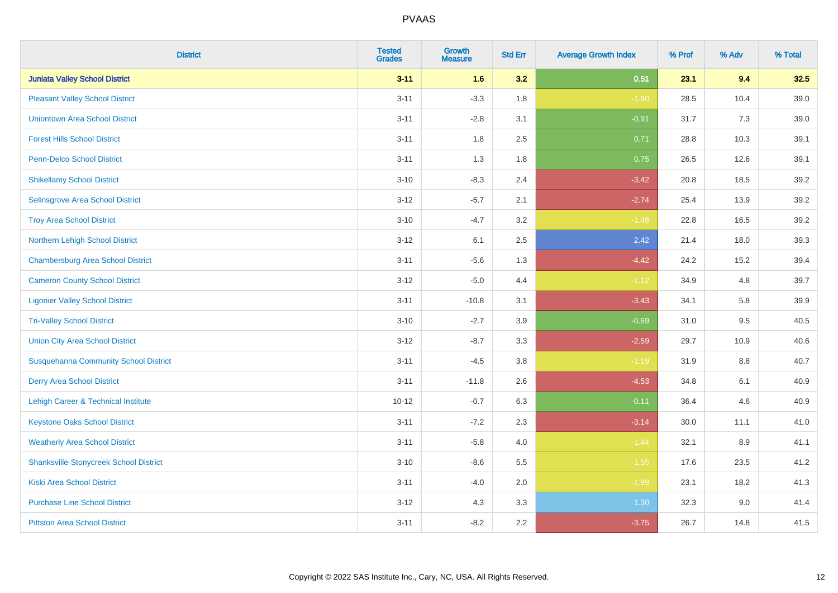| <b>District</b>                               | <b>Tested</b><br><b>Grades</b> | <b>Growth</b><br><b>Measure</b> | <b>Std Err</b> | <b>Average Growth Index</b> | % Prof | % Adv | % Total |
|-----------------------------------------------|--------------------------------|---------------------------------|----------------|-----------------------------|--------|-------|---------|
| <b>Juniata Valley School District</b>         | $3 - 11$                       | 1.6                             | 3.2            | 0.51                        | 23.1   | 9.4   | 32.5    |
| <b>Pleasant Valley School District</b>        | $3 - 11$                       | $-3.3$                          | 1.8            | $-1.80$                     | 28.5   | 10.4  | 39.0    |
| <b>Uniontown Area School District</b>         | $3 - 11$                       | $-2.8$                          | 3.1            | $-0.91$                     | 31.7   | 7.3   | 39.0    |
| <b>Forest Hills School District</b>           | $3 - 11$                       | 1.8                             | 2.5            | 0.71                        | 28.8   | 10.3  | 39.1    |
| <b>Penn-Delco School District</b>             | $3 - 11$                       | 1.3                             | 1.8            | 0.75                        | 26.5   | 12.6  | 39.1    |
| <b>Shikellamy School District</b>             | $3 - 10$                       | $-8.3$                          | 2.4            | $-3.42$                     | 20.8   | 18.5  | 39.2    |
| Selinsgrove Area School District              | $3 - 12$                       | $-5.7$                          | 2.1            | $-2.74$                     | 25.4   | 13.9  | 39.2    |
| <b>Troy Area School District</b>              | $3 - 10$                       | $-4.7$                          | 3.2            | $-1.46$                     | 22.8   | 16.5  | 39.2    |
| Northern Lehigh School District               | $3 - 12$                       | 6.1                             | 2.5            | 2.42                        | 21.4   | 18.0  | 39.3    |
| <b>Chambersburg Area School District</b>      | $3 - 11$                       | $-5.6$                          | 1.3            | $-4.42$                     | 24.2   | 15.2  | 39.4    |
| <b>Cameron County School District</b>         | $3-12$                         | $-5.0$                          | 4.4            | $-1.12$                     | 34.9   | 4.8   | 39.7    |
| <b>Ligonier Valley School District</b>        | $3 - 11$                       | $-10.8$                         | 3.1            | $-3.43$                     | 34.1   | 5.8   | 39.9    |
| <b>Tri-Valley School District</b>             | $3 - 10$                       | $-2.7$                          | 3.9            | $-0.69$                     | 31.0   | 9.5   | 40.5    |
| <b>Union City Area School District</b>        | $3 - 12$                       | $-8.7$                          | 3.3            | $-2.59$                     | 29.7   | 10.9  | 40.6    |
| <b>Susquehanna Community School District</b>  | $3 - 11$                       | $-4.5$                          | 3.8            | $-1.19$                     | 31.9   | 8.8   | 40.7    |
| <b>Derry Area School District</b>             | $3 - 11$                       | $-11.8$                         | 2.6            | $-4.53$                     | 34.8   | 6.1   | 40.9    |
| Lehigh Career & Technical Institute           | $10 - 12$                      | $-0.7$                          | 6.3            | $-0.11$                     | 36.4   | 4.6   | 40.9    |
| <b>Keystone Oaks School District</b>          | $3 - 11$                       | $-7.2$                          | 2.3            | $-3.14$                     | 30.0   | 11.1  | 41.0    |
| <b>Weatherly Area School District</b>         | $3 - 11$                       | $-5.8$                          | 4.0            | $-1.44$                     | 32.1   | 8.9   | 41.1    |
| <b>Shanksville-Stonycreek School District</b> | $3 - 10$                       | $-8.6$                          | 5.5            | $-1.55$                     | 17.6   | 23.5  | 41.2    |
| <b>Kiski Area School District</b>             | $3 - 11$                       | $-4.0$                          | 2.0            | $-1.99$                     | 23.1   | 18.2  | 41.3    |
| <b>Purchase Line School District</b>          | $3 - 12$                       | 4.3                             | 3.3            | 1.30                        | 32.3   | 9.0   | 41.4    |
| <b>Pittston Area School District</b>          | $3 - 11$                       | $-8.2$                          | 2.2            | $-3.75$                     | 26.7   | 14.8  | 41.5    |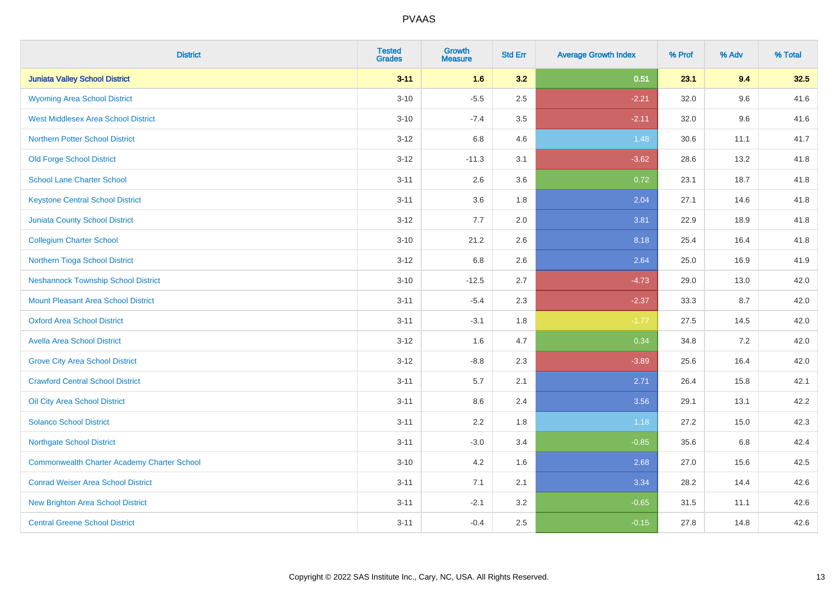| <b>District</b>                             | <b>Tested</b><br><b>Grades</b> | <b>Growth</b><br><b>Measure</b> | <b>Std Err</b> | <b>Average Growth Index</b> | % Prof | % Adv | % Total |
|---------------------------------------------|--------------------------------|---------------------------------|----------------|-----------------------------|--------|-------|---------|
| <b>Juniata Valley School District</b>       | $3 - 11$                       | 1.6                             | 3.2            | 0.51                        | 23.1   | 9.4   | 32.5    |
| <b>Wyoming Area School District</b>         | $3 - 10$                       | $-5.5$                          | 2.5            | $-2.21$                     | 32.0   | 9.6   | 41.6    |
| <b>West Middlesex Area School District</b>  | $3 - 10$                       | $-7.4$                          | 3.5            | $-2.11$                     | 32.0   | 9.6   | 41.6    |
| <b>Northern Potter School District</b>      | $3 - 12$                       | 6.8                             | 4.6            | 1.48                        | 30.6   | 11.1  | 41.7    |
| <b>Old Forge School District</b>            | $3 - 12$                       | $-11.3$                         | 3.1            | $-3.62$                     | 28.6   | 13.2  | 41.8    |
| <b>School Lane Charter School</b>           | $3 - 11$                       | 2.6                             | 3.6            | 0.72                        | 23.1   | 18.7  | 41.8    |
| <b>Keystone Central School District</b>     | $3 - 11$                       | 3.6                             | 1.8            | 2.04                        | 27.1   | 14.6  | 41.8    |
| <b>Juniata County School District</b>       | $3 - 12$                       | 7.7                             | 2.0            | 3.81                        | 22.9   | 18.9  | 41.8    |
| <b>Collegium Charter School</b>             | $3 - 10$                       | 21.2                            | 2.6            | 8.18                        | 25.4   | 16.4  | 41.8    |
| Northern Tioga School District              | $3 - 12$                       | 6.8                             | 2.6            | 2.64                        | 25.0   | 16.9  | 41.9    |
| <b>Neshannock Township School District</b>  | $3 - 10$                       | $-12.5$                         | 2.7            | $-4.73$                     | 29.0   | 13.0  | 42.0    |
| <b>Mount Pleasant Area School District</b>  | $3 - 11$                       | $-5.4$                          | 2.3            | $-2.37$                     | 33.3   | 8.7   | 42.0    |
| <b>Oxford Area School District</b>          | $3 - 11$                       | $-3.1$                          | 1.8            | $-1.77$                     | 27.5   | 14.5  | 42.0    |
| <b>Avella Area School District</b>          | $3 - 12$                       | 1.6                             | 4.7            | 0.34                        | 34.8   | 7.2   | 42.0    |
| <b>Grove City Area School District</b>      | $3 - 12$                       | $-8.8$                          | 2.3            | $-3.89$                     | 25.6   | 16.4  | 42.0    |
| <b>Crawford Central School District</b>     | $3 - 11$                       | 5.7                             | 2.1            | 2.71                        | 26.4   | 15.8  | 42.1    |
| Oil City Area School District               | $3 - 11$                       | 8.6                             | 2.4            | 3.56                        | 29.1   | 13.1  | 42.2    |
| <b>Solanco School District</b>              | $3 - 11$                       | 2.2                             | 1.8            | 1.18                        | 27.2   | 15.0  | 42.3    |
| <b>Northgate School District</b>            | $3 - 11$                       | $-3.0$                          | 3.4            | $-0.85$                     | 35.6   | 6.8   | 42.4    |
| Commonwealth Charter Academy Charter School | $3 - 10$                       | 4.2                             | 1.6            | 2.68                        | 27.0   | 15.6  | 42.5    |
| <b>Conrad Weiser Area School District</b>   | $3 - 11$                       | 7.1                             | 2.1            | 3.34                        | 28.2   | 14.4  | 42.6    |
| <b>New Brighton Area School District</b>    | $3 - 11$                       | $-2.1$                          | 3.2            | $-0.65$                     | 31.5   | 11.1  | 42.6    |
| <b>Central Greene School District</b>       | $3 - 11$                       | $-0.4$                          | 2.5            | $-0.15$                     | 27.8   | 14.8  | 42.6    |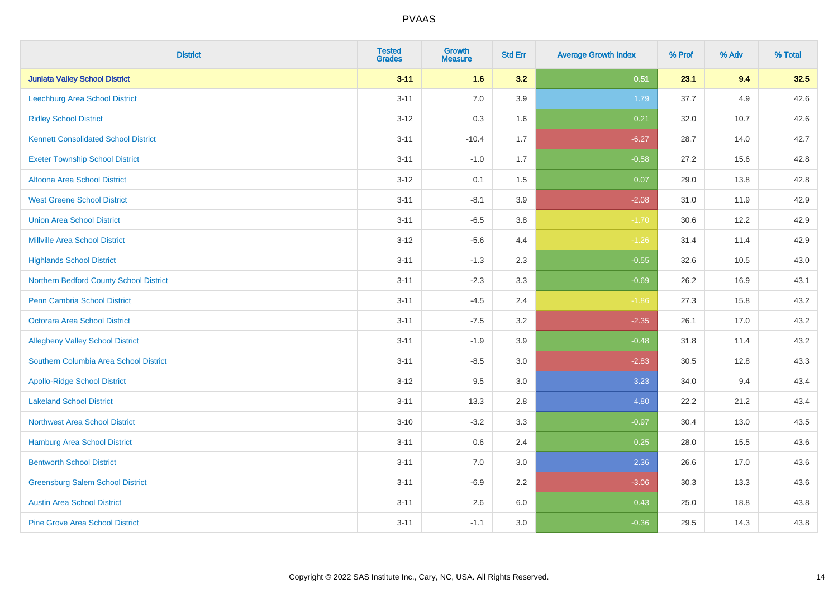| <b>District</b>                             | <b>Tested</b><br><b>Grades</b> | <b>Growth</b><br><b>Measure</b> | <b>Std Err</b> | <b>Average Growth Index</b> | % Prof | % Adv | % Total |
|---------------------------------------------|--------------------------------|---------------------------------|----------------|-----------------------------|--------|-------|---------|
| <b>Juniata Valley School District</b>       | $3 - 11$                       | 1.6                             | 3.2            | 0.51                        | 23.1   | 9.4   | 32.5    |
| Leechburg Area School District              | $3 - 11$                       | 7.0                             | 3.9            | 1.79                        | 37.7   | 4.9   | 42.6    |
| <b>Ridley School District</b>               | $3 - 12$                       | 0.3                             | 1.6            | 0.21                        | 32.0   | 10.7  | 42.6    |
| <b>Kennett Consolidated School District</b> | $3 - 11$                       | $-10.4$                         | 1.7            | $-6.27$                     | 28.7   | 14.0  | 42.7    |
| <b>Exeter Township School District</b>      | $3 - 11$                       | $-1.0$                          | 1.7            | $-0.58$                     | 27.2   | 15.6  | 42.8    |
| <b>Altoona Area School District</b>         | $3 - 12$                       | 0.1                             | 1.5            | 0.07                        | 29.0   | 13.8  | 42.8    |
| <b>West Greene School District</b>          | $3 - 11$                       | $-8.1$                          | 3.9            | $-2.08$                     | 31.0   | 11.9  | 42.9    |
| <b>Union Area School District</b>           | $3 - 11$                       | $-6.5$                          | 3.8            | $-1.70$                     | 30.6   | 12.2  | 42.9    |
| <b>Millville Area School District</b>       | $3 - 12$                       | $-5.6$                          | 4.4            | $-1.26$                     | 31.4   | 11.4  | 42.9    |
| <b>Highlands School District</b>            | $3 - 11$                       | $-1.3$                          | 2.3            | $-0.55$                     | 32.6   | 10.5  | 43.0    |
| Northern Bedford County School District     | $3 - 11$                       | $-2.3$                          | 3.3            | $-0.69$                     | 26.2   | 16.9  | 43.1    |
| <b>Penn Cambria School District</b>         | $3 - 11$                       | $-4.5$                          | 2.4            | $-1.86$                     | 27.3   | 15.8  | 43.2    |
| Octorara Area School District               | $3 - 11$                       | $-7.5$                          | 3.2            | $-2.35$                     | 26.1   | 17.0  | 43.2    |
| <b>Allegheny Valley School District</b>     | $3 - 11$                       | $-1.9$                          | 3.9            | $-0.48$                     | 31.8   | 11.4  | 43.2    |
| Southern Columbia Area School District      | $3 - 11$                       | $-8.5$                          | 3.0            | $-2.83$                     | 30.5   | 12.8  | 43.3    |
| <b>Apollo-Ridge School District</b>         | $3 - 12$                       | 9.5                             | 3.0            | 3.23                        | 34.0   | 9.4   | 43.4    |
| <b>Lakeland School District</b>             | $3 - 11$                       | 13.3                            | 2.8            | 4.80                        | 22.2   | 21.2  | 43.4    |
| <b>Northwest Area School District</b>       | $3 - 10$                       | $-3.2$                          | 3.3            | $-0.97$                     | 30.4   | 13.0  | 43.5    |
| <b>Hamburg Area School District</b>         | $3 - 11$                       | 0.6                             | 2.4            | 0.25                        | 28.0   | 15.5  | 43.6    |
| <b>Bentworth School District</b>            | $3 - 11$                       | 7.0                             | 3.0            | 2.36                        | 26.6   | 17.0  | 43.6    |
| <b>Greensburg Salem School District</b>     | $3 - 11$                       | $-6.9$                          | 2.2            | $-3.06$                     | 30.3   | 13.3  | 43.6    |
| <b>Austin Area School District</b>          | $3 - 11$                       | 2.6                             | 6.0            | 0.43                        | 25.0   | 18.8  | 43.8    |
| <b>Pine Grove Area School District</b>      | $3 - 11$                       | $-1.1$                          | 3.0            | $-0.36$                     | 29.5   | 14.3  | 43.8    |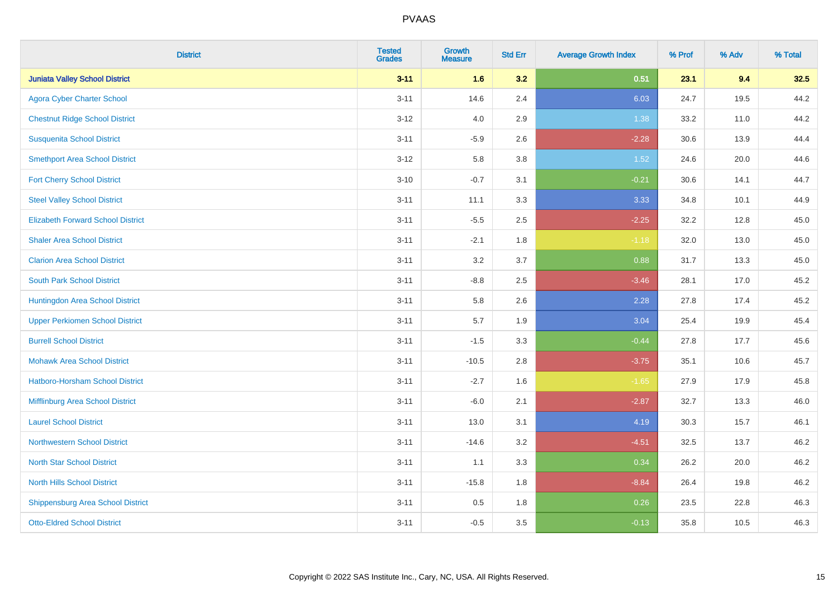| <b>District</b>                          | <b>Tested</b><br><b>Grades</b> | <b>Growth</b><br><b>Measure</b> | <b>Std Err</b> | <b>Average Growth Index</b> | % Prof | % Adv | % Total |
|------------------------------------------|--------------------------------|---------------------------------|----------------|-----------------------------|--------|-------|---------|
| <b>Juniata Valley School District</b>    | $3 - 11$                       | 1.6                             | 3.2            | 0.51                        | 23.1   | 9.4   | 32.5    |
| <b>Agora Cyber Charter School</b>        | $3 - 11$                       | 14.6                            | 2.4            | 6.03                        | 24.7   | 19.5  | 44.2    |
| <b>Chestnut Ridge School District</b>    | $3 - 12$                       | 4.0                             | 2.9            | 1.38                        | 33.2   | 11.0  | 44.2    |
| <b>Susquenita School District</b>        | $3 - 11$                       | $-5.9$                          | 2.6            | $-2.28$                     | 30.6   | 13.9  | 44.4    |
| <b>Smethport Area School District</b>    | $3 - 12$                       | 5.8                             | 3.8            | 1.52                        | 24.6   | 20.0  | 44.6    |
| <b>Fort Cherry School District</b>       | $3 - 10$                       | $-0.7$                          | 3.1            | $-0.21$                     | 30.6   | 14.1  | 44.7    |
| <b>Steel Valley School District</b>      | $3 - 11$                       | 11.1                            | 3.3            | 3.33                        | 34.8   | 10.1  | 44.9    |
| <b>Elizabeth Forward School District</b> | $3 - 11$                       | $-5.5$                          | 2.5            | $-2.25$                     | 32.2   | 12.8  | 45.0    |
| <b>Shaler Area School District</b>       | $3 - 11$                       | $-2.1$                          | 1.8            | $-1.18$                     | 32.0   | 13.0  | 45.0    |
| <b>Clarion Area School District</b>      | $3 - 11$                       | 3.2                             | 3.7            | 0.88                        | 31.7   | 13.3  | 45.0    |
| <b>South Park School District</b>        | $3 - 11$                       | $-8.8$                          | 2.5            | $-3.46$                     | 28.1   | 17.0  | 45.2    |
| Huntingdon Area School District          | $3 - 11$                       | 5.8                             | 2.6            | 2.28                        | 27.8   | 17.4  | 45.2    |
| <b>Upper Perkiomen School District</b>   | $3 - 11$                       | 5.7                             | 1.9            | 3.04                        | 25.4   | 19.9  | 45.4    |
| <b>Burrell School District</b>           | $3 - 11$                       | $-1.5$                          | 3.3            | $-0.44$                     | 27.8   | 17.7  | 45.6    |
| <b>Mohawk Area School District</b>       | $3 - 11$                       | $-10.5$                         | 2.8            | $-3.75$                     | 35.1   | 10.6  | 45.7    |
| <b>Hatboro-Horsham School District</b>   | $3 - 11$                       | $-2.7$                          | 1.6            | $-1.65$                     | 27.9   | 17.9  | 45.8    |
| Mifflinburg Area School District         | $3 - 11$                       | $-6.0$                          | 2.1            | $-2.87$                     | 32.7   | 13.3  | 46.0    |
| <b>Laurel School District</b>            | $3 - 11$                       | 13.0                            | 3.1            | 4.19                        | 30.3   | 15.7  | 46.1    |
| Northwestern School District             | $3 - 11$                       | $-14.6$                         | 3.2            | $-4.51$                     | 32.5   | 13.7  | 46.2    |
| <b>North Star School District</b>        | $3 - 11$                       | 1.1                             | 3.3            | 0.34                        | 26.2   | 20.0  | 46.2    |
| <b>North Hills School District</b>       | $3 - 11$                       | $-15.8$                         | 1.8            | $-8.84$                     | 26.4   | 19.8  | 46.2    |
| <b>Shippensburg Area School District</b> | $3 - 11$                       | 0.5                             | 1.8            | 0.26                        | 23.5   | 22.8  | 46.3    |
| <b>Otto-Eldred School District</b>       | $3 - 11$                       | $-0.5$                          | 3.5            | $-0.13$                     | 35.8   | 10.5  | 46.3    |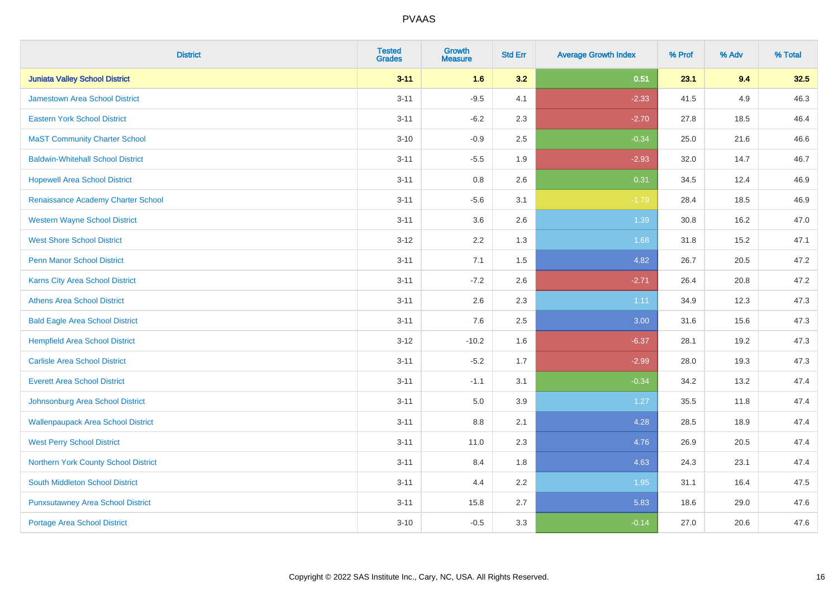| <b>District</b>                           | <b>Tested</b><br><b>Grades</b> | <b>Growth</b><br><b>Measure</b> | <b>Std Err</b> | <b>Average Growth Index</b> | % Prof | % Adv | % Total |
|-------------------------------------------|--------------------------------|---------------------------------|----------------|-----------------------------|--------|-------|---------|
| <b>Juniata Valley School District</b>     | $3 - 11$                       | 1.6                             | 3.2            | 0.51                        | 23.1   | 9.4   | 32.5    |
| <b>Jamestown Area School District</b>     | $3 - 11$                       | $-9.5$                          | 4.1            | $-2.33$                     | 41.5   | 4.9   | 46.3    |
| <b>Eastern York School District</b>       | $3 - 11$                       | $-6.2$                          | 2.3            | $-2.70$                     | 27.8   | 18.5  | 46.4    |
| <b>MaST Community Charter School</b>      | $3 - 10$                       | $-0.9$                          | 2.5            | $-0.34$                     | 25.0   | 21.6  | 46.6    |
| <b>Baldwin-Whitehall School District</b>  | $3 - 11$                       | $-5.5$                          | 1.9            | $-2.93$                     | 32.0   | 14.7  | 46.7    |
| <b>Hopewell Area School District</b>      | $3 - 11$                       | 0.8                             | 2.6            | 0.31                        | 34.5   | 12.4  | 46.9    |
| Renaissance Academy Charter School        | $3 - 11$                       | $-5.6$                          | 3.1            | $-1.79$                     | 28.4   | 18.5  | 46.9    |
| <b>Western Wayne School District</b>      | $3 - 11$                       | 3.6                             | 2.6            | 1.39                        | 30.8   | 16.2  | 47.0    |
| <b>West Shore School District</b>         | $3-12$                         | 2.2                             | 1.3            | 1.68                        | 31.8   | 15.2  | 47.1    |
| <b>Penn Manor School District</b>         | $3 - 11$                       | 7.1                             | 1.5            | 4.82                        | 26.7   | 20.5  | 47.2    |
| Karns City Area School District           | $3 - 11$                       | $-7.2$                          | 2.6            | $-2.71$                     | 26.4   | 20.8  | 47.2    |
| <b>Athens Area School District</b>        | $3 - 11$                       | 2.6                             | 2.3            | 1.11                        | 34.9   | 12.3  | 47.3    |
| <b>Bald Eagle Area School District</b>    | $3 - 11$                       | 7.6                             | 2.5            | 3.00                        | 31.6   | 15.6  | 47.3    |
| <b>Hempfield Area School District</b>     | $3 - 12$                       | $-10.2$                         | 1.6            | $-6.37$                     | 28.1   | 19.2  | 47.3    |
| <b>Carlisle Area School District</b>      | $3 - 11$                       | $-5.2$                          | 1.7            | $-2.99$                     | 28.0   | 19.3  | 47.3    |
| <b>Everett Area School District</b>       | $3 - 11$                       | $-1.1$                          | 3.1            | $-0.34$                     | 34.2   | 13.2  | 47.4    |
| Johnsonburg Area School District          | $3 - 11$                       | 5.0                             | 3.9            | 1.27                        | 35.5   | 11.8  | 47.4    |
| <b>Wallenpaupack Area School District</b> | $3 - 11$                       | 8.8                             | 2.1            | 4.28                        | 28.5   | 18.9  | 47.4    |
| <b>West Perry School District</b>         | $3 - 11$                       | 11.0                            | 2.3            | 4.76                        | 26.9   | 20.5  | 47.4    |
| Northern York County School District      | $3 - 11$                       | 8.4                             | 1.8            | 4.63                        | 24.3   | 23.1  | 47.4    |
| South Middleton School District           | $3 - 11$                       | 4.4                             | 2.2            | 1.95                        | 31.1   | 16.4  | 47.5    |
| <b>Punxsutawney Area School District</b>  | $3 - 11$                       | 15.8                            | 2.7            | 5.83                        | 18.6   | 29.0  | 47.6    |
| Portage Area School District              | $3 - 10$                       | $-0.5$                          | 3.3            | $-0.14$                     | 27.0   | 20.6  | 47.6    |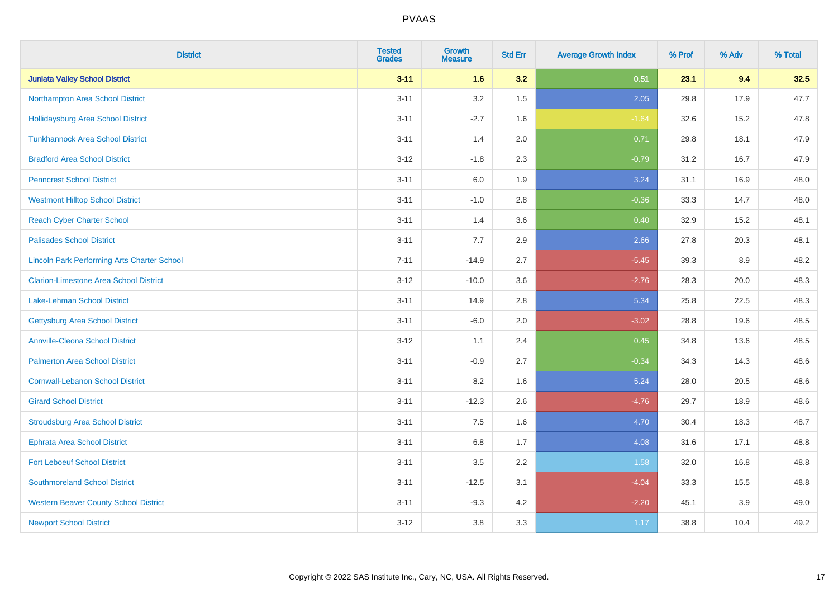| <b>District</b>                                    | <b>Tested</b><br><b>Grades</b> | <b>Growth</b><br><b>Measure</b> | <b>Std Err</b> | <b>Average Growth Index</b> | % Prof | % Adv | % Total |
|----------------------------------------------------|--------------------------------|---------------------------------|----------------|-----------------------------|--------|-------|---------|
| <b>Juniata Valley School District</b>              | $3 - 11$                       | 1.6                             | 3.2            | 0.51                        | 23.1   | 9.4   | 32.5    |
| Northampton Area School District                   | $3 - 11$                       | 3.2                             | 1.5            | 2.05                        | 29.8   | 17.9  | 47.7    |
| <b>Hollidaysburg Area School District</b>          | $3 - 11$                       | $-2.7$                          | 1.6            | $-1.64$                     | 32.6   | 15.2  | 47.8    |
| <b>Tunkhannock Area School District</b>            | $3 - 11$                       | 1.4                             | 2.0            | 0.71                        | 29.8   | 18.1  | 47.9    |
| <b>Bradford Area School District</b>               | $3 - 12$                       | $-1.8$                          | 2.3            | $-0.79$                     | 31.2   | 16.7  | 47.9    |
| <b>Penncrest School District</b>                   | $3 - 11$                       | 6.0                             | 1.9            | 3.24                        | 31.1   | 16.9  | 48.0    |
| <b>Westmont Hilltop School District</b>            | $3 - 11$                       | $-1.0$                          | 2.8            | $-0.36$                     | 33.3   | 14.7  | 48.0    |
| <b>Reach Cyber Charter School</b>                  | $3 - 11$                       | 1.4                             | 3.6            | 0.40                        | 32.9   | 15.2  | 48.1    |
| <b>Palisades School District</b>                   | $3 - 11$                       | 7.7                             | 2.9            | 2.66                        | 27.8   | 20.3  | 48.1    |
| <b>Lincoln Park Performing Arts Charter School</b> | $7 - 11$                       | $-14.9$                         | 2.7            | $-5.45$                     | 39.3   | 8.9   | 48.2    |
| <b>Clarion-Limestone Area School District</b>      | $3 - 12$                       | $-10.0$                         | 3.6            | $-2.76$                     | 28.3   | 20.0  | 48.3    |
| <b>Lake-Lehman School District</b>                 | $3 - 11$                       | 14.9                            | 2.8            | 5.34                        | 25.8   | 22.5  | 48.3    |
| <b>Gettysburg Area School District</b>             | $3 - 11$                       | $-6.0$                          | 2.0            | $-3.02$                     | 28.8   | 19.6  | 48.5    |
| <b>Annville-Cleona School District</b>             | $3 - 12$                       | 1.1                             | 2.4            | 0.45                        | 34.8   | 13.6  | 48.5    |
| <b>Palmerton Area School District</b>              | $3 - 11$                       | $-0.9$                          | 2.7            | $-0.34$                     | 34.3   | 14.3  | 48.6    |
| <b>Cornwall-Lebanon School District</b>            | $3 - 11$                       | 8.2                             | 1.6            | 5.24                        | 28.0   | 20.5  | 48.6    |
| <b>Girard School District</b>                      | $3 - 11$                       | $-12.3$                         | 2.6            | $-4.76$                     | 29.7   | 18.9  | 48.6    |
| <b>Stroudsburg Area School District</b>            | $3 - 11$                       | 7.5                             | 1.6            | 4.70                        | 30.4   | 18.3  | 48.7    |
| <b>Ephrata Area School District</b>                | $3 - 11$                       | $6.8\,$                         | 1.7            | 4.08                        | 31.6   | 17.1  | 48.8    |
| <b>Fort Leboeuf School District</b>                | $3 - 11$                       | 3.5                             | 2.2            | 1.58                        | 32.0   | 16.8  | 48.8    |
| <b>Southmoreland School District</b>               | $3 - 11$                       | $-12.5$                         | 3.1            | $-4.04$                     | 33.3   | 15.5  | 48.8    |
| <b>Western Beaver County School District</b>       | $3 - 11$                       | $-9.3$                          | 4.2            | $-2.20$                     | 45.1   | 3.9   | 49.0    |
| <b>Newport School District</b>                     | $3 - 12$                       | 3.8                             | 3.3            | 1.17                        | 38.8   | 10.4  | 49.2    |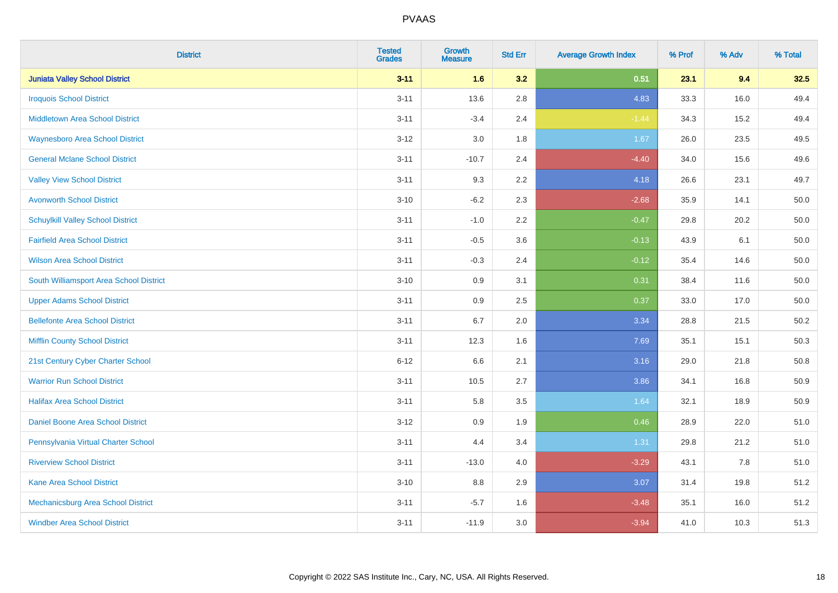| <b>District</b>                          | <b>Tested</b><br><b>Grades</b> | <b>Growth</b><br><b>Measure</b> | <b>Std Err</b> | <b>Average Growth Index</b> | % Prof | % Adv | % Total |
|------------------------------------------|--------------------------------|---------------------------------|----------------|-----------------------------|--------|-------|---------|
| <b>Juniata Valley School District</b>    | $3 - 11$                       | 1.6                             | 3.2            | 0.51                        | 23.1   | 9.4   | 32.5    |
| <b>Iroquois School District</b>          | $3 - 11$                       | 13.6                            | 2.8            | 4.83                        | 33.3   | 16.0  | 49.4    |
| <b>Middletown Area School District</b>   | $3 - 11$                       | $-3.4$                          | 2.4            | $-1.44$                     | 34.3   | 15.2  | 49.4    |
| <b>Waynesboro Area School District</b>   | $3 - 12$                       | $3.0\,$                         | 1.8            | 1.67                        | 26.0   | 23.5  | 49.5    |
| <b>General Mclane School District</b>    | $3 - 11$                       | $-10.7$                         | 2.4            | $-4.40$                     | 34.0   | 15.6  | 49.6    |
| <b>Valley View School District</b>       | $3 - 11$                       | 9.3                             | 2.2            | 4.18                        | 26.6   | 23.1  | 49.7    |
| <b>Avonworth School District</b>         | $3 - 10$                       | $-6.2$                          | 2.3            | $-2.68$                     | 35.9   | 14.1  | 50.0    |
| <b>Schuylkill Valley School District</b> | $3 - 11$                       | $-1.0$                          | 2.2            | $-0.47$                     | 29.8   | 20.2  | 50.0    |
| <b>Fairfield Area School District</b>    | $3 - 11$                       | $-0.5$                          | 3.6            | $-0.13$                     | 43.9   | 6.1   | 50.0    |
| <b>Wilson Area School District</b>       | $3 - 11$                       | $-0.3$                          | 2.4            | $-0.12$                     | 35.4   | 14.6  | 50.0    |
| South Williamsport Area School District  | $3 - 10$                       | 0.9                             | 3.1            | 0.31                        | 38.4   | 11.6  | 50.0    |
| <b>Upper Adams School District</b>       | $3 - 11$                       | 0.9                             | 2.5            | 0.37                        | 33.0   | 17.0  | 50.0    |
| <b>Bellefonte Area School District</b>   | $3 - 11$                       | 6.7                             | 2.0            | 3.34                        | 28.8   | 21.5  | 50.2    |
| <b>Mifflin County School District</b>    | $3 - 11$                       | 12.3                            | 1.6            | 7.69                        | 35.1   | 15.1  | 50.3    |
| 21st Century Cyber Charter School        | $6 - 12$                       | 6.6                             | 2.1            | 3.16                        | 29.0   | 21.8  | 50.8    |
| <b>Warrior Run School District</b>       | $3 - 11$                       | 10.5                            | 2.7            | 3.86                        | 34.1   | 16.8  | 50.9    |
| <b>Halifax Area School District</b>      | $3 - 11$                       | 5.8                             | 3.5            | 1.64                        | 32.1   | 18.9  | 50.9    |
| Daniel Boone Area School District        | $3 - 12$                       | 0.9                             | 1.9            | 0.46                        | 28.9   | 22.0  | 51.0    |
| Pennsylvania Virtual Charter School      | $3 - 11$                       | 4.4                             | 3.4            | 1.31                        | 29.8   | 21.2  | 51.0    |
| <b>Riverview School District</b>         | $3 - 11$                       | $-13.0$                         | 4.0            | $-3.29$                     | 43.1   | 7.8   | 51.0    |
| <b>Kane Area School District</b>         | $3 - 10$                       | 8.8                             | 2.9            | 3.07                        | 31.4   | 19.8  | 51.2    |
| Mechanicsburg Area School District       | $3 - 11$                       | $-5.7$                          | 1.6            | $-3.48$                     | 35.1   | 16.0  | 51.2    |
| <b>Windber Area School District</b>      | $3 - 11$                       | $-11.9$                         | 3.0            | $-3.94$                     | 41.0   | 10.3  | 51.3    |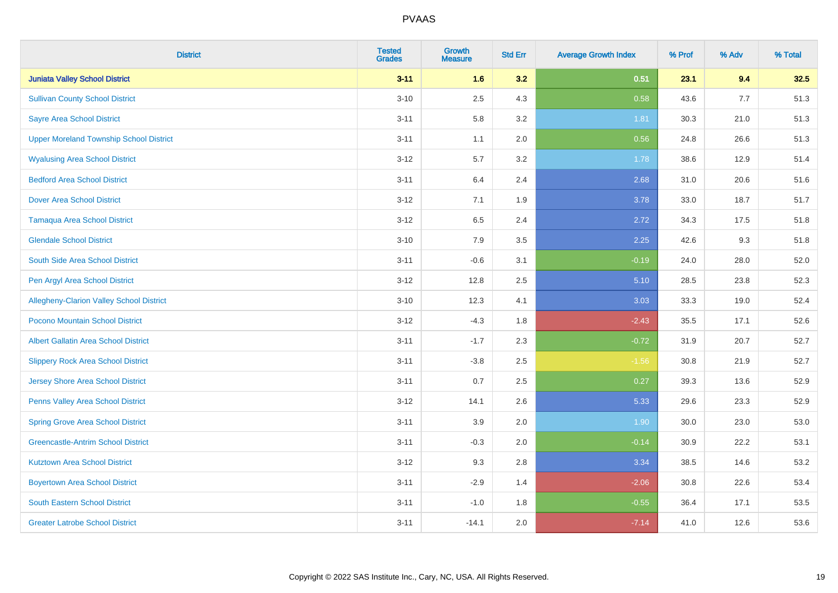| <b>District</b>                                 | <b>Tested</b><br><b>Grades</b> | <b>Growth</b><br><b>Measure</b> | <b>Std Err</b> | <b>Average Growth Index</b> | % Prof | % Adv | % Total |
|-------------------------------------------------|--------------------------------|---------------------------------|----------------|-----------------------------|--------|-------|---------|
| <b>Juniata Valley School District</b>           | $3 - 11$                       | 1.6                             | 3.2            | 0.51                        | 23.1   | 9.4   | 32.5    |
| <b>Sullivan County School District</b>          | $3 - 10$                       | 2.5                             | 4.3            | 0.58                        | 43.6   | 7.7   | 51.3    |
| <b>Sayre Area School District</b>               | $3 - 11$                       | 5.8                             | 3.2            | 1.81                        | 30.3   | 21.0  | 51.3    |
| <b>Upper Moreland Township School District</b>  | $3 - 11$                       | 1.1                             | 2.0            | 0.56                        | 24.8   | 26.6  | 51.3    |
| <b>Wyalusing Area School District</b>           | $3 - 12$                       | 5.7                             | 3.2            | 1.78                        | 38.6   | 12.9  | 51.4    |
| <b>Bedford Area School District</b>             | $3 - 11$                       | 6.4                             | 2.4            | 2.68                        | 31.0   | 20.6  | 51.6    |
| <b>Dover Area School District</b>               | $3 - 12$                       | 7.1                             | 1.9            | 3.78                        | 33.0   | 18.7  | 51.7    |
| <b>Tamaqua Area School District</b>             | $3 - 12$                       | 6.5                             | 2.4            | 2.72                        | 34.3   | 17.5  | 51.8    |
| <b>Glendale School District</b>                 | $3 - 10$                       | 7.9                             | 3.5            | 2.25                        | 42.6   | 9.3   | 51.8    |
| South Side Area School District                 | $3 - 11$                       | $-0.6$                          | 3.1            | $-0.19$                     | 24.0   | 28.0  | 52.0    |
| Pen Argyl Area School District                  | $3 - 12$                       | 12.8                            | 2.5            | 5.10                        | 28.5   | 23.8  | 52.3    |
| <b>Allegheny-Clarion Valley School District</b> | $3 - 10$                       | 12.3                            | 4.1            | 3.03                        | 33.3   | 19.0  | 52.4    |
| Pocono Mountain School District                 | $3-12$                         | $-4.3$                          | 1.8            | $-2.43$                     | 35.5   | 17.1  | 52.6    |
| <b>Albert Gallatin Area School District</b>     | $3 - 11$                       | $-1.7$                          | 2.3            | $-0.72$                     | 31.9   | 20.7  | 52.7    |
| <b>Slippery Rock Area School District</b>       | $3 - 11$                       | $-3.8$                          | 2.5            | $-1.56$                     | 30.8   | 21.9  | 52.7    |
| Jersey Shore Area School District               | $3 - 11$                       | 0.7                             | 2.5            | 0.27                        | 39.3   | 13.6  | 52.9    |
| Penns Valley Area School District               | $3 - 12$                       | 14.1                            | 2.6            | 5.33                        | 29.6   | 23.3  | 52.9    |
| <b>Spring Grove Area School District</b>        | $3 - 11$                       | 3.9                             | 2.0            | 1.90                        | 30.0   | 23.0  | 53.0    |
| <b>Greencastle-Antrim School District</b>       | $3 - 11$                       | $-0.3$                          | 2.0            | $-0.14$                     | 30.9   | 22.2  | 53.1    |
| <b>Kutztown Area School District</b>            | $3 - 12$                       | 9.3                             | 2.8            | 3.34                        | 38.5   | 14.6  | 53.2    |
| <b>Boyertown Area School District</b>           | $3 - 11$                       | $-2.9$                          | 1.4            | $-2.06$                     | 30.8   | 22.6  | 53.4    |
| <b>South Eastern School District</b>            | $3 - 11$                       | $-1.0$                          | 1.8            | $-0.55$                     | 36.4   | 17.1  | 53.5    |
| <b>Greater Latrobe School District</b>          | $3 - 11$                       | $-14.1$                         | 2.0            | $-7.14$                     | 41.0   | 12.6  | 53.6    |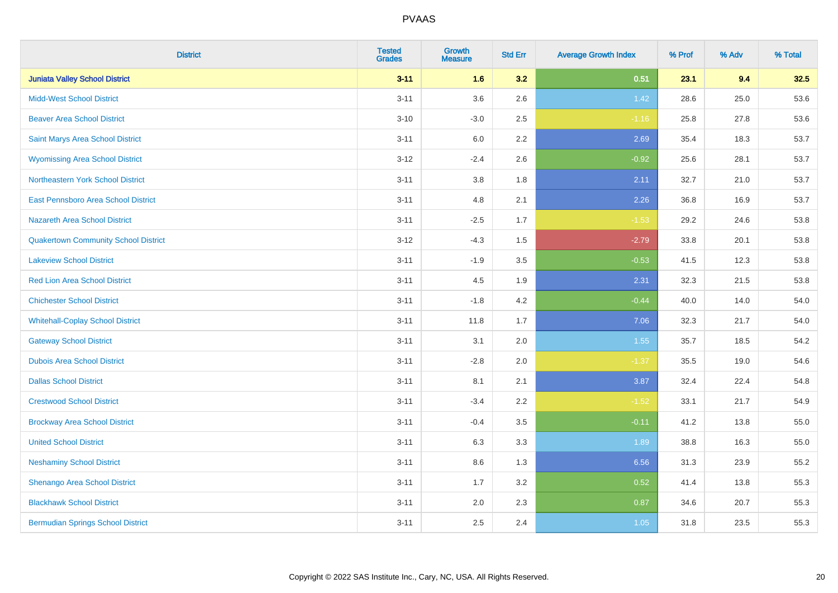| <b>District</b>                             | <b>Tested</b><br><b>Grades</b> | <b>Growth</b><br><b>Measure</b> | <b>Std Err</b> | <b>Average Growth Index</b> | % Prof | % Adv | % Total |
|---------------------------------------------|--------------------------------|---------------------------------|----------------|-----------------------------|--------|-------|---------|
| <b>Juniata Valley School District</b>       | $3 - 11$                       | 1.6                             | 3.2            | 0.51                        | 23.1   | 9.4   | 32.5    |
| <b>Midd-West School District</b>            | $3 - 11$                       | 3.6                             | 2.6            | 1.42                        | 28.6   | 25.0  | 53.6    |
| <b>Beaver Area School District</b>          | $3 - 10$                       | $-3.0$                          | 2.5            | $-1.16$                     | 25.8   | 27.8  | 53.6    |
| Saint Marys Area School District            | $3 - 11$                       | 6.0                             | 2.2            | 2.69                        | 35.4   | 18.3  | 53.7    |
| <b>Wyomissing Area School District</b>      | $3 - 12$                       | $-2.4$                          | 2.6            | $-0.92$                     | 25.6   | 28.1  | 53.7    |
| Northeastern York School District           | $3 - 11$                       | 3.8                             | 1.8            | 2.11                        | 32.7   | 21.0  | 53.7    |
| East Pennsboro Area School District         | $3 - 11$                       | 4.8                             | 2.1            | 2.26                        | 36.8   | 16.9  | 53.7    |
| <b>Nazareth Area School District</b>        | $3 - 11$                       | $-2.5$                          | 1.7            | $-1.53$                     | 29.2   | 24.6  | 53.8    |
| <b>Quakertown Community School District</b> | $3 - 12$                       | $-4.3$                          | 1.5            | $-2.79$                     | 33.8   | 20.1  | 53.8    |
| <b>Lakeview School District</b>             | $3 - 11$                       | $-1.9$                          | 3.5            | $-0.53$                     | 41.5   | 12.3  | 53.8    |
| <b>Red Lion Area School District</b>        | $3 - 11$                       | 4.5                             | 1.9            | 2.31                        | 32.3   | 21.5  | 53.8    |
| <b>Chichester School District</b>           | $3 - 11$                       | $-1.8$                          | 4.2            | $-0.44$                     | 40.0   | 14.0  | 54.0    |
| <b>Whitehall-Coplay School District</b>     | $3 - 11$                       | 11.8                            | 1.7            | 7.06                        | 32.3   | 21.7  | 54.0    |
| <b>Gateway School District</b>              | $3 - 11$                       | 3.1                             | 2.0            | 1.55                        | 35.7   | 18.5  | 54.2    |
| <b>Dubois Area School District</b>          | $3 - 11$                       | $-2.8$                          | 2.0            | $-1.37$                     | 35.5   | 19.0  | 54.6    |
| <b>Dallas School District</b>               | $3 - 11$                       | 8.1                             | 2.1            | 3.87                        | 32.4   | 22.4  | 54.8    |
| <b>Crestwood School District</b>            | $3 - 11$                       | $-3.4$                          | 2.2            | $-1.52$                     | 33.1   | 21.7  | 54.9    |
| <b>Brockway Area School District</b>        | $3 - 11$                       | $-0.4$                          | 3.5            | $-0.11$                     | 41.2   | 13.8  | 55.0    |
| <b>United School District</b>               | $3 - 11$                       | 6.3                             | 3.3            | 1.89                        | 38.8   | 16.3  | 55.0    |
| <b>Neshaminy School District</b>            | $3 - 11$                       | 8.6                             | 1.3            | 6.56                        | 31.3   | 23.9  | 55.2    |
| Shenango Area School District               | $3 - 11$                       | 1.7                             | 3.2            | 0.52                        | 41.4   | 13.8  | 55.3    |
| <b>Blackhawk School District</b>            | $3 - 11$                       | 2.0                             | 2.3            | 0.87                        | 34.6   | 20.7  | 55.3    |
| <b>Bermudian Springs School District</b>    | $3 - 11$                       | 2.5                             | 2.4            | 1.05                        | 31.8   | 23.5  | 55.3    |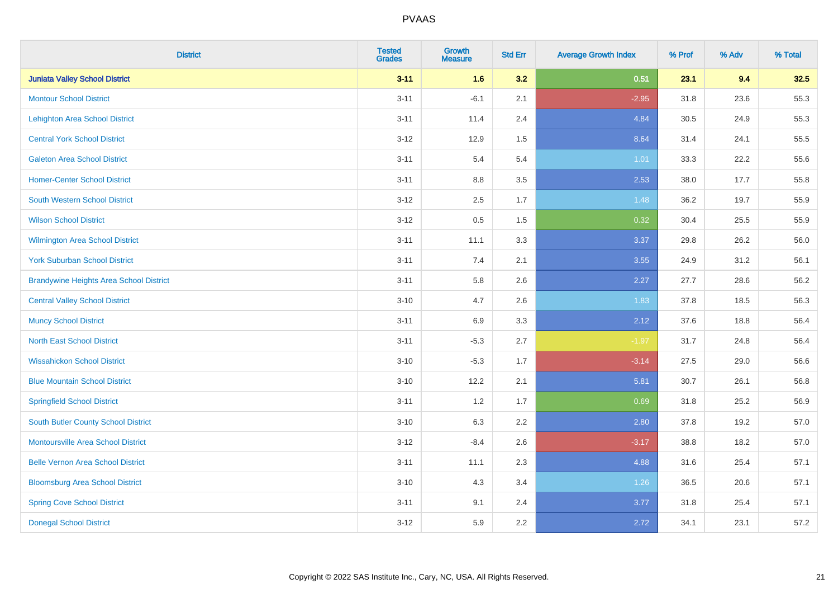| <b>District</b>                                | <b>Tested</b><br><b>Grades</b> | <b>Growth</b><br><b>Measure</b> | <b>Std Err</b> | <b>Average Growth Index</b> | % Prof | % Adv | % Total |
|------------------------------------------------|--------------------------------|---------------------------------|----------------|-----------------------------|--------|-------|---------|
| <b>Juniata Valley School District</b>          | $3 - 11$                       | 1.6                             | 3.2            | 0.51                        | 23.1   | 9.4   | 32.5    |
| <b>Montour School District</b>                 | $3 - 11$                       | $-6.1$                          | 2.1            | $-2.95$                     | 31.8   | 23.6  | 55.3    |
| <b>Lehighton Area School District</b>          | $3 - 11$                       | 11.4                            | 2.4            | 4.84                        | 30.5   | 24.9  | 55.3    |
| <b>Central York School District</b>            | $3 - 12$                       | 12.9                            | 1.5            | 8.64                        | 31.4   | 24.1  | 55.5    |
| <b>Galeton Area School District</b>            | $3 - 11$                       | 5.4                             | 5.4            | 1.01                        | 33.3   | 22.2  | 55.6    |
| <b>Homer-Center School District</b>            | $3 - 11$                       | 8.8                             | 3.5            | 2.53                        | 38.0   | 17.7  | 55.8    |
| <b>South Western School District</b>           | $3 - 12$                       | 2.5                             | 1.7            | 1.48                        | 36.2   | 19.7  | 55.9    |
| <b>Wilson School District</b>                  | $3 - 12$                       | 0.5                             | 1.5            | 0.32                        | 30.4   | 25.5  | 55.9    |
| Wilmington Area School District                | $3 - 11$                       | 11.1                            | 3.3            | 3.37                        | 29.8   | 26.2  | 56.0    |
| <b>York Suburban School District</b>           | $3 - 11$                       | 7.4                             | 2.1            | 3.55                        | 24.9   | 31.2  | 56.1    |
| <b>Brandywine Heights Area School District</b> | $3 - 11$                       | 5.8                             | 2.6            | 2.27                        | 27.7   | 28.6  | 56.2    |
| <b>Central Valley School District</b>          | $3 - 10$                       | 4.7                             | 2.6            | 1.83                        | 37.8   | 18.5  | 56.3    |
| <b>Muncy School District</b>                   | $3 - 11$                       | 6.9                             | 3.3            | 2.12                        | 37.6   | 18.8  | 56.4    |
| <b>North East School District</b>              | $3 - 11$                       | $-5.3$                          | 2.7            | $-1.97$                     | 31.7   | 24.8  | 56.4    |
| <b>Wissahickon School District</b>             | $3 - 10$                       | $-5.3$                          | 1.7            | $-3.14$                     | 27.5   | 29.0  | 56.6    |
| <b>Blue Mountain School District</b>           | $3 - 10$                       | 12.2                            | 2.1            | 5.81                        | 30.7   | 26.1  | 56.8    |
| <b>Springfield School District</b>             | $3 - 11$                       | 1.2                             | 1.7            | 0.69                        | 31.8   | 25.2  | 56.9    |
| <b>South Butler County School District</b>     | $3 - 10$                       | 6.3                             | 2.2            | 2.80                        | 37.8   | 19.2  | 57.0    |
| Montoursville Area School District             | $3 - 12$                       | $-8.4$                          | 2.6            | $-3.17$                     | 38.8   | 18.2  | 57.0    |
| <b>Belle Vernon Area School District</b>       | $3 - 11$                       | 11.1                            | 2.3            | 4.88                        | 31.6   | 25.4  | 57.1    |
| <b>Bloomsburg Area School District</b>         | $3 - 10$                       | 4.3                             | 3.4            | 1.26                        | 36.5   | 20.6  | 57.1    |
| <b>Spring Cove School District</b>             | $3 - 11$                       | 9.1                             | 2.4            | 3.77                        | 31.8   | 25.4  | 57.1    |
| <b>Donegal School District</b>                 | $3 - 12$                       | 5.9                             | 2.2            | 2.72                        | 34.1   | 23.1  | 57.2    |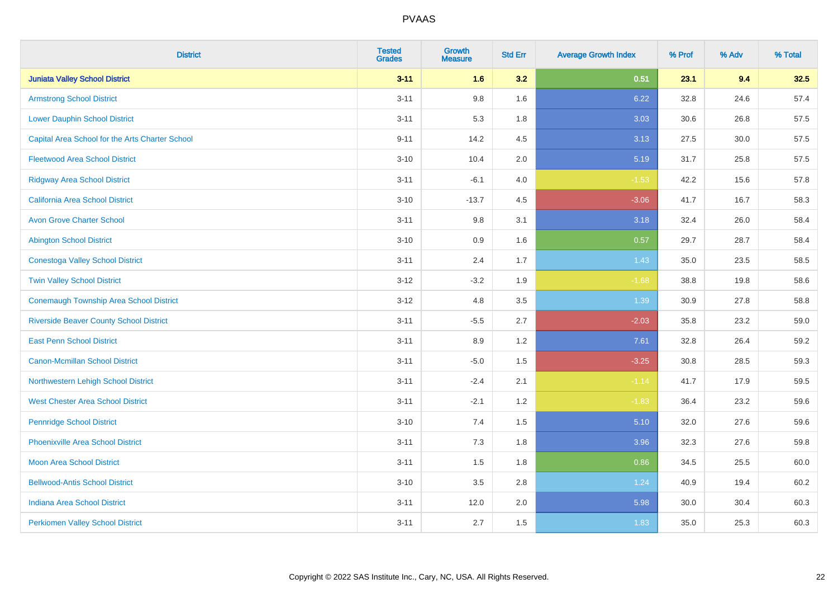| <b>District</b>                                 | <b>Tested</b><br><b>Grades</b> | <b>Growth</b><br><b>Measure</b> | <b>Std Err</b> | <b>Average Growth Index</b> | % Prof | % Adv | % Total |
|-------------------------------------------------|--------------------------------|---------------------------------|----------------|-----------------------------|--------|-------|---------|
| <b>Juniata Valley School District</b>           | $3 - 11$                       | 1.6                             | 3.2            | 0.51                        | 23.1   | 9.4   | 32.5    |
| <b>Armstrong School District</b>                | $3 - 11$                       | 9.8                             | 1.6            | 6.22                        | 32.8   | 24.6  | 57.4    |
| <b>Lower Dauphin School District</b>            | $3 - 11$                       | 5.3                             | 1.8            | 3.03                        | 30.6   | 26.8  | 57.5    |
| Capital Area School for the Arts Charter School | $9 - 11$                       | 14.2                            | 4.5            | 3.13                        | 27.5   | 30.0  | 57.5    |
| <b>Fleetwood Area School District</b>           | $3 - 10$                       | 10.4                            | 2.0            | 5.19                        | 31.7   | 25.8  | 57.5    |
| <b>Ridgway Area School District</b>             | $3 - 11$                       | $-6.1$                          | 4.0            | $-1.53$                     | 42.2   | 15.6  | 57.8    |
| California Area School District                 | $3 - 10$                       | $-13.7$                         | 4.5            | $-3.06$                     | 41.7   | 16.7  | 58.3    |
| <b>Avon Grove Charter School</b>                | $3 - 11$                       | 9.8                             | 3.1            | 3.18                        | 32.4   | 26.0  | 58.4    |
| <b>Abington School District</b>                 | $3 - 10$                       | 0.9                             | 1.6            | 0.57                        | 29.7   | 28.7  | 58.4    |
| <b>Conestoga Valley School District</b>         | $3 - 11$                       | 2.4                             | 1.7            | 1.43                        | 35.0   | 23.5  | 58.5    |
| <b>Twin Valley School District</b>              | $3 - 12$                       | $-3.2$                          | 1.9            | $-1.68$                     | 38.8   | 19.8  | 58.6    |
| <b>Conemaugh Township Area School District</b>  | $3 - 12$                       | 4.8                             | 3.5            | 1.39                        | 30.9   | 27.8  | 58.8    |
| <b>Riverside Beaver County School District</b>  | $3 - 11$                       | $-5.5$                          | 2.7            | $-2.03$                     | 35.8   | 23.2  | 59.0    |
| <b>East Penn School District</b>                | $3 - 11$                       | 8.9                             | 1.2            | 7.61                        | 32.8   | 26.4  | 59.2    |
| <b>Canon-Mcmillan School District</b>           | $3 - 11$                       | $-5.0$                          | 1.5            | $-3.25$                     | 30.8   | 28.5  | 59.3    |
| Northwestern Lehigh School District             | $3 - 11$                       | $-2.4$                          | 2.1            | $-1.14$                     | 41.7   | 17.9  | 59.5    |
| <b>West Chester Area School District</b>        | $3 - 11$                       | $-2.1$                          | 1.2            | $-1.83$                     | 36.4   | 23.2  | 59.6    |
| <b>Pennridge School District</b>                | $3 - 10$                       | 7.4                             | 1.5            | 5.10                        | 32.0   | 27.6  | 59.6    |
| <b>Phoenixville Area School District</b>        | $3 - 11$                       | 7.3                             | 1.8            | 3.96                        | 32.3   | 27.6  | 59.8    |
| <b>Moon Area School District</b>                | $3 - 11$                       | 1.5                             | 1.8            | 0.86                        | 34.5   | 25.5  | 60.0    |
| <b>Bellwood-Antis School District</b>           | $3 - 10$                       | 3.5                             | 2.8            | 1.24                        | 40.9   | 19.4  | 60.2    |
| <b>Indiana Area School District</b>             | $3 - 11$                       | 12.0                            | 2.0            | 5.98                        | 30.0   | 30.4  | 60.3    |
| <b>Perkiomen Valley School District</b>         | $3 - 11$                       | 2.7                             | 1.5            | 1.83                        | 35.0   | 25.3  | 60.3    |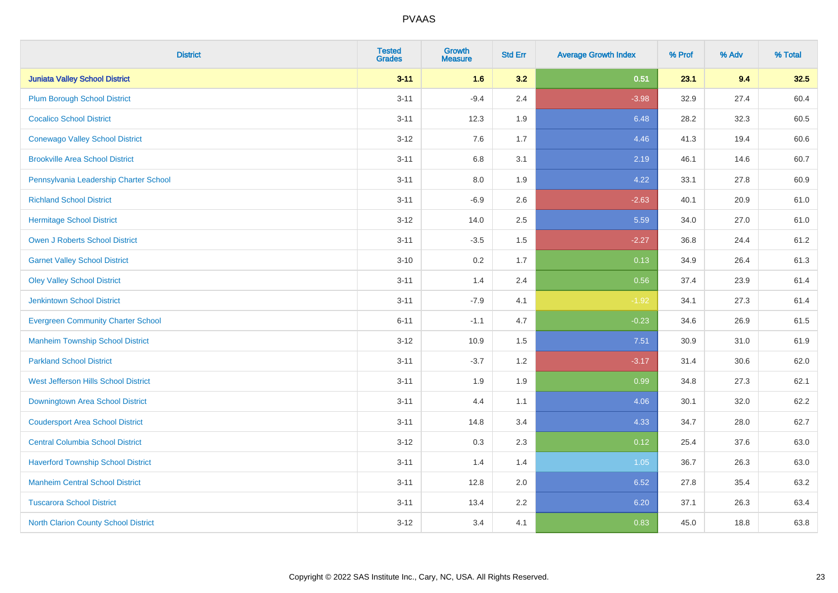| <b>District</b>                             | <b>Tested</b><br><b>Grades</b> | <b>Growth</b><br><b>Measure</b> | <b>Std Err</b> | <b>Average Growth Index</b> | % Prof | % Adv | % Total |
|---------------------------------------------|--------------------------------|---------------------------------|----------------|-----------------------------|--------|-------|---------|
| <b>Juniata Valley School District</b>       | $3 - 11$                       | 1.6                             | 3.2            | 0.51                        | 23.1   | 9.4   | 32.5    |
| <b>Plum Borough School District</b>         | $3 - 11$                       | $-9.4$                          | 2.4            | $-3.98$                     | 32.9   | 27.4  | 60.4    |
| <b>Cocalico School District</b>             | $3 - 11$                       | 12.3                            | 1.9            | 6.48                        | 28.2   | 32.3  | 60.5    |
| <b>Conewago Valley School District</b>      | $3 - 12$                       | 7.6                             | 1.7            | 4.46                        | 41.3   | 19.4  | 60.6    |
| <b>Brookville Area School District</b>      | $3 - 11$                       | 6.8                             | 3.1            | 2.19                        | 46.1   | 14.6  | 60.7    |
| Pennsylvania Leadership Charter School      | $3 - 11$                       | 8.0                             | 1.9            | 4.22                        | 33.1   | 27.8  | 60.9    |
| <b>Richland School District</b>             | $3 - 11$                       | $-6.9$                          | 2.6            | $-2.63$                     | 40.1   | 20.9  | 61.0    |
| <b>Hermitage School District</b>            | $3 - 12$                       | 14.0                            | 2.5            | 5.59                        | 34.0   | 27.0  | 61.0    |
| <b>Owen J Roberts School District</b>       | $3 - 11$                       | $-3.5$                          | 1.5            | $-2.27$                     | 36.8   | 24.4  | 61.2    |
| <b>Garnet Valley School District</b>        | $3 - 10$                       | 0.2                             | 1.7            | 0.13                        | 34.9   | 26.4  | 61.3    |
| <b>Oley Valley School District</b>          | $3 - 11$                       | 1.4                             | 2.4            | 0.56                        | 37.4   | 23.9  | 61.4    |
| <b>Jenkintown School District</b>           | $3 - 11$                       | $-7.9$                          | 4.1            | $-1.92$                     | 34.1   | 27.3  | 61.4    |
| <b>Evergreen Community Charter School</b>   | $6 - 11$                       | $-1.1$                          | 4.7            | $-0.23$                     | 34.6   | 26.9  | 61.5    |
| <b>Manheim Township School District</b>     | $3 - 12$                       | 10.9                            | 1.5            | 7.51                        | 30.9   | 31.0  | 61.9    |
| <b>Parkland School District</b>             | $3 - 11$                       | $-3.7$                          | 1.2            | $-3.17$                     | 31.4   | 30.6  | 62.0    |
| West Jefferson Hills School District        | $3 - 11$                       | 1.9                             | 1.9            | 0.99                        | 34.8   | 27.3  | 62.1    |
| <b>Downingtown Area School District</b>     | $3 - 11$                       | 4.4                             | 1.1            | 4.06                        | 30.1   | 32.0  | 62.2    |
| <b>Coudersport Area School District</b>     | $3 - 11$                       | 14.8                            | 3.4            | 4.33                        | 34.7   | 28.0  | 62.7    |
| <b>Central Columbia School District</b>     | $3 - 12$                       | 0.3                             | 2.3            | 0.12                        | 25.4   | 37.6  | 63.0    |
| <b>Haverford Township School District</b>   | $3 - 11$                       | 1.4                             | 1.4            | 1.05                        | 36.7   | 26.3  | 63.0    |
| <b>Manheim Central School District</b>      | $3 - 11$                       | 12.8                            | 2.0            | 6.52                        | 27.8   | 35.4  | 63.2    |
| <b>Tuscarora School District</b>            | $3 - 11$                       | 13.4                            | 2.2            | 6.20                        | 37.1   | 26.3  | 63.4    |
| <b>North Clarion County School District</b> | $3 - 12$                       | 3.4                             | 4.1            | 0.83                        | 45.0   | 18.8  | 63.8    |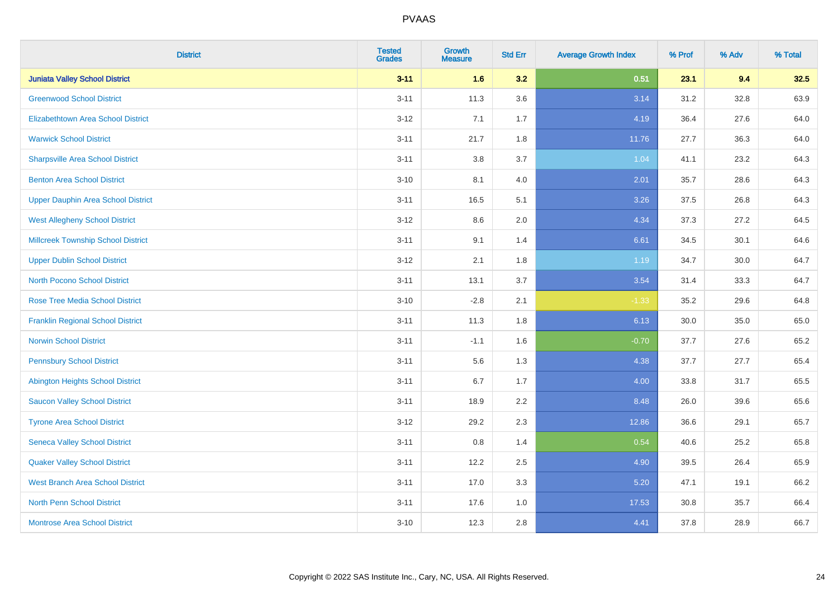| <b>District</b>                           | <b>Tested</b><br><b>Grades</b> | <b>Growth</b><br><b>Measure</b> | <b>Std Err</b> | <b>Average Growth Index</b> | % Prof | % Adv | % Total |
|-------------------------------------------|--------------------------------|---------------------------------|----------------|-----------------------------|--------|-------|---------|
| <b>Juniata Valley School District</b>     | $3 - 11$                       | 1.6                             | 3.2            | 0.51                        | 23.1   | 9.4   | 32.5    |
| <b>Greenwood School District</b>          | $3 - 11$                       | 11.3                            | 3.6            | 3.14                        | 31.2   | 32.8  | 63.9    |
| <b>Elizabethtown Area School District</b> | $3 - 12$                       | 7.1                             | 1.7            | 4.19                        | 36.4   | 27.6  | 64.0    |
| <b>Warwick School District</b>            | $3 - 11$                       | 21.7                            | 1.8            | 11.76                       | 27.7   | 36.3  | 64.0    |
| <b>Sharpsville Area School District</b>   | $3 - 11$                       | 3.8                             | 3.7            | 1.04                        | 41.1   | 23.2  | 64.3    |
| <b>Benton Area School District</b>        | $3 - 10$                       | 8.1                             | 4.0            | 2.01                        | 35.7   | 28.6  | 64.3    |
| <b>Upper Dauphin Area School District</b> | $3 - 11$                       | 16.5                            | 5.1            | 3.26                        | 37.5   | 26.8  | 64.3    |
| <b>West Allegheny School District</b>     | $3 - 12$                       | 8.6                             | 2.0            | 4.34                        | 37.3   | 27.2  | 64.5    |
| <b>Millcreek Township School District</b> | $3 - 11$                       | 9.1                             | 1.4            | 6.61                        | 34.5   | 30.1  | 64.6    |
| <b>Upper Dublin School District</b>       | $3 - 12$                       | 2.1                             | 1.8            | 1.19                        | 34.7   | 30.0  | 64.7    |
| <b>North Pocono School District</b>       | $3 - 11$                       | 13.1                            | 3.7            | 3.54                        | 31.4   | 33.3  | 64.7    |
| <b>Rose Tree Media School District</b>    | $3 - 10$                       | $-2.8$                          | 2.1            | $-1.33$                     | 35.2   | 29.6  | 64.8    |
| <b>Franklin Regional School District</b>  | $3 - 11$                       | 11.3                            | 1.8            | 6.13                        | 30.0   | 35.0  | 65.0    |
| <b>Norwin School District</b>             | $3 - 11$                       | $-1.1$                          | 1.6            | $-0.70$                     | 37.7   | 27.6  | 65.2    |
| <b>Pennsbury School District</b>          | $3 - 11$                       | 5.6                             | 1.3            | 4.38                        | 37.7   | 27.7  | 65.4    |
| <b>Abington Heights School District</b>   | $3 - 11$                       | 6.7                             | 1.7            | 4.00                        | 33.8   | 31.7  | 65.5    |
| <b>Saucon Valley School District</b>      | $3 - 11$                       | 18.9                            | 2.2            | 8.48                        | 26.0   | 39.6  | 65.6    |
| <b>Tyrone Area School District</b>        | $3 - 12$                       | 29.2                            | 2.3            | 12.86                       | 36.6   | 29.1  | 65.7    |
| <b>Seneca Valley School District</b>      | $3 - 11$                       | 0.8                             | 1.4            | 0.54                        | 40.6   | 25.2  | 65.8    |
| <b>Quaker Valley School District</b>      | $3 - 11$                       | 12.2                            | 2.5            | 4.90                        | 39.5   | 26.4  | 65.9    |
| <b>West Branch Area School District</b>   | $3 - 11$                       | 17.0                            | 3.3            | 5.20                        | 47.1   | 19.1  | 66.2    |
| <b>North Penn School District</b>         | $3 - 11$                       | 17.6                            | 1.0            | 17.53                       | 30.8   | 35.7  | 66.4    |
| <b>Montrose Area School District</b>      | $3 - 10$                       | 12.3                            | 2.8            | 4.41                        | 37.8   | 28.9  | 66.7    |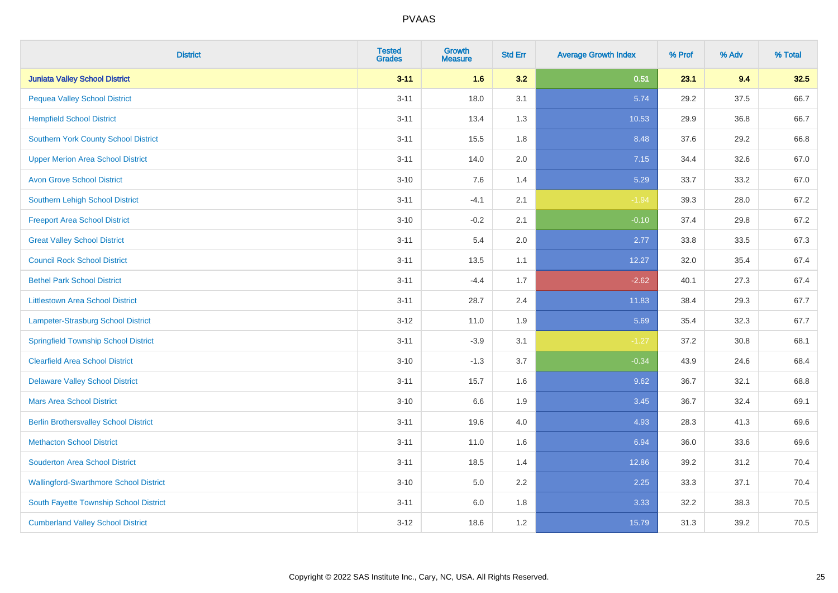| <b>District</b>                               | <b>Tested</b><br><b>Grades</b> | <b>Growth</b><br><b>Measure</b> | <b>Std Err</b> | <b>Average Growth Index</b> | % Prof | % Adv | % Total |
|-----------------------------------------------|--------------------------------|---------------------------------|----------------|-----------------------------|--------|-------|---------|
| <b>Juniata Valley School District</b>         | $3 - 11$                       | 1.6                             | 3.2            | 0.51                        | 23.1   | 9.4   | 32.5    |
| <b>Pequea Valley School District</b>          | $3 - 11$                       | 18.0                            | 3.1            | 5.74                        | 29.2   | 37.5  | 66.7    |
| <b>Hempfield School District</b>              | $3 - 11$                       | 13.4                            | 1.3            | 10.53                       | 29.9   | 36.8  | 66.7    |
| <b>Southern York County School District</b>   | $3 - 11$                       | 15.5                            | 1.8            | 8.48                        | 37.6   | 29.2  | 66.8    |
| <b>Upper Merion Area School District</b>      | $3 - 11$                       | 14.0                            | 2.0            | 7.15                        | 34.4   | 32.6  | 67.0    |
| <b>Avon Grove School District</b>             | $3 - 10$                       | 7.6                             | 1.4            | 5.29                        | 33.7   | 33.2  | 67.0    |
| <b>Southern Lehigh School District</b>        | $3 - 11$                       | $-4.1$                          | 2.1            | $-1.94$                     | 39.3   | 28.0  | 67.2    |
| <b>Freeport Area School District</b>          | $3 - 10$                       | $-0.2$                          | 2.1            | $-0.10$                     | 37.4   | 29.8  | 67.2    |
| <b>Great Valley School District</b>           | $3 - 11$                       | 5.4                             | 2.0            | 2.77                        | 33.8   | 33.5  | 67.3    |
| <b>Council Rock School District</b>           | $3 - 11$                       | 13.5                            | 1.1            | 12.27                       | 32.0   | 35.4  | 67.4    |
| <b>Bethel Park School District</b>            | $3 - 11$                       | $-4.4$                          | 1.7            | $-2.62$                     | 40.1   | 27.3  | 67.4    |
| <b>Littlestown Area School District</b>       | $3 - 11$                       | 28.7                            | 2.4            | 11.83                       | 38.4   | 29.3  | 67.7    |
| Lampeter-Strasburg School District            | $3 - 12$                       | 11.0                            | 1.9            | 5.69                        | 35.4   | 32.3  | 67.7    |
| <b>Springfield Township School District</b>   | $3 - 11$                       | $-3.9$                          | 3.1            | $-1.27$                     | 37.2   | 30.8  | 68.1    |
| <b>Clearfield Area School District</b>        | $3 - 10$                       | $-1.3$                          | 3.7            | $-0.34$                     | 43.9   | 24.6  | 68.4    |
| <b>Delaware Valley School District</b>        | $3 - 11$                       | 15.7                            | 1.6            | 9.62                        | 36.7   | 32.1  | 68.8    |
| <b>Mars Area School District</b>              | $3 - 10$                       | 6.6                             | 1.9            | 3.45                        | 36.7   | 32.4  | 69.1    |
| <b>Berlin Brothersvalley School District</b>  | $3 - 11$                       | 19.6                            | 4.0            | 4.93                        | 28.3   | 41.3  | 69.6    |
| <b>Methacton School District</b>              | $3 - 11$                       | 11.0                            | 1.6            | 6.94                        | 36.0   | 33.6  | 69.6    |
| <b>Souderton Area School District</b>         | $3 - 11$                       | 18.5                            | 1.4            | 12.86                       | 39.2   | 31.2  | 70.4    |
| <b>Wallingford-Swarthmore School District</b> | $3 - 10$                       | 5.0                             | 2.2            | 2.25                        | 33.3   | 37.1  | 70.4    |
| South Fayette Township School District        | $3 - 11$                       | 6.0                             | 1.8            | 3.33                        | 32.2   | 38.3  | 70.5    |
| <b>Cumberland Valley School District</b>      | $3 - 12$                       | 18.6                            | 1.2            | 15.79                       | 31.3   | 39.2  | 70.5    |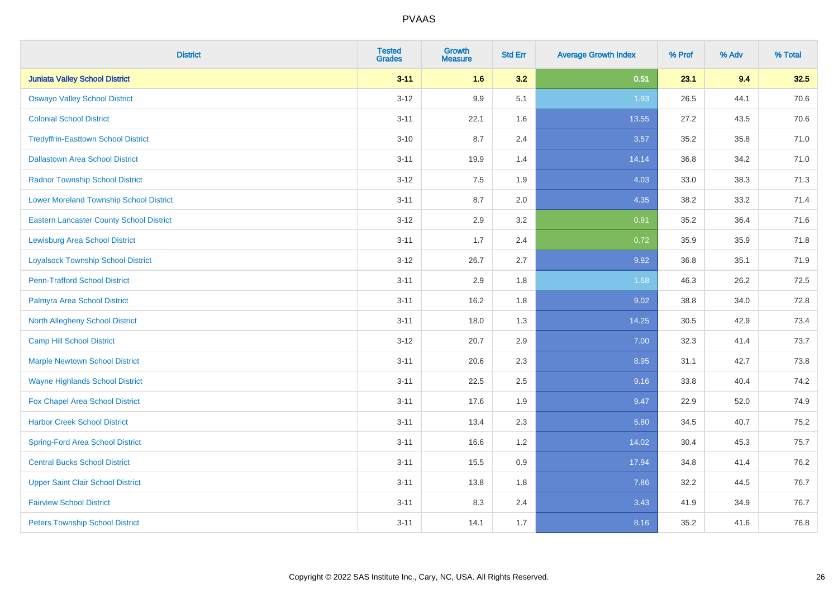| <b>District</b>                                 | <b>Tested</b><br><b>Grades</b> | <b>Growth</b><br><b>Measure</b> | <b>Std Err</b> | <b>Average Growth Index</b> | % Prof | % Adv | % Total |
|-------------------------------------------------|--------------------------------|---------------------------------|----------------|-----------------------------|--------|-------|---------|
| <b>Juniata Valley School District</b>           | $3 - 11$                       | 1.6                             | 3.2            | 0.51                        | 23.1   | 9.4   | 32.5    |
| <b>Oswayo Valley School District</b>            | $3 - 12$                       | 9.9                             | 5.1            | 1.93                        | 26.5   | 44.1  | 70.6    |
| <b>Colonial School District</b>                 | $3 - 11$                       | 22.1                            | 1.6            | 13.55                       | 27.2   | 43.5  | 70.6    |
| <b>Tredyffrin-Easttown School District</b>      | $3 - 10$                       | 8.7                             | 2.4            | 3.57                        | 35.2   | 35.8  | 71.0    |
| <b>Dallastown Area School District</b>          | $3 - 11$                       | 19.9                            | 1.4            | 14.14                       | 36.8   | 34.2  | 71.0    |
| <b>Radnor Township School District</b>          | $3 - 12$                       | 7.5                             | 1.9            | 4.03                        | 33.0   | 38.3  | 71.3    |
| <b>Lower Moreland Township School District</b>  | $3 - 11$                       | 8.7                             | 2.0            | 4.35                        | 38.2   | 33.2  | 71.4    |
| <b>Eastern Lancaster County School District</b> | $3 - 12$                       | 2.9                             | 3.2            | 0.91                        | 35.2   | 36.4  | 71.6    |
| <b>Lewisburg Area School District</b>           | $3 - 11$                       | 1.7                             | 2.4            | 0.72                        | 35.9   | 35.9  | 71.8    |
| <b>Loyalsock Township School District</b>       | $3-12$                         | 26.7                            | 2.7            | 9.92                        | 36.8   | 35.1  | 71.9    |
| <b>Penn-Trafford School District</b>            | $3 - 11$                       | 2.9                             | 1.8            | 1.68                        | 46.3   | 26.2  | 72.5    |
| Palmyra Area School District                    | $3 - 11$                       | 16.2                            | 1.8            | 9.02                        | 38.8   | 34.0  | 72.8    |
| North Allegheny School District                 | $3 - 11$                       | 18.0                            | 1.3            | 14.25                       | 30.5   | 42.9  | 73.4    |
| <b>Camp Hill School District</b>                | $3 - 12$                       | 20.7                            | 2.9            | 7.00                        | 32.3   | 41.4  | 73.7    |
| <b>Marple Newtown School District</b>           | $3 - 11$                       | 20.6                            | 2.3            | 8.95                        | 31.1   | 42.7  | 73.8    |
| <b>Wayne Highlands School District</b>          | $3 - 11$                       | 22.5                            | 2.5            | 9.16                        | 33.8   | 40.4  | 74.2    |
| Fox Chapel Area School District                 | $3 - 11$                       | 17.6                            | 1.9            | 9.47                        | 22.9   | 52.0  | 74.9    |
| <b>Harbor Creek School District</b>             | $3 - 11$                       | 13.4                            | 2.3            | 5.80                        | 34.5   | 40.7  | 75.2    |
| <b>Spring-Ford Area School District</b>         | $3 - 11$                       | 16.6                            | 1.2            | 14.02                       | 30.4   | 45.3  | 75.7    |
| <b>Central Bucks School District</b>            | $3 - 11$                       | 15.5                            | 0.9            | 17.94                       | 34.8   | 41.4  | 76.2    |
| <b>Upper Saint Clair School District</b>        | $3 - 11$                       | 13.8                            | 1.8            | 7.86                        | 32.2   | 44.5  | 76.7    |
| <b>Fairview School District</b>                 | $3 - 11$                       | 8.3                             | 2.4            | 3.43                        | 41.9   | 34.9  | 76.7    |
| <b>Peters Township School District</b>          | $3 - 11$                       | 14.1                            | 1.7            | 8.16                        | 35.2   | 41.6  | 76.8    |